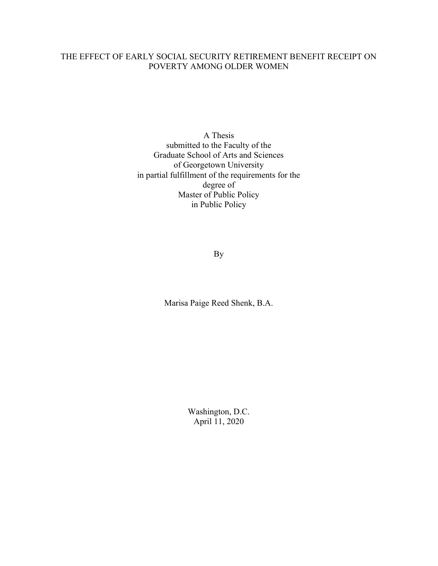# THE EFFECT OF EARLY SOCIAL SECURITY RETIREMENT BENEFIT RECEIPT ON POVERTY AMONG OLDER WOMEN

A Thesis submitted to the Faculty of the Graduate School of Arts and Sciences of Georgetown University in partial fulfillment of the requirements for the degree of Master of Public Policy in Public Policy

By

Marisa Paige Reed Shenk, B.A.

Washington, D.C. April 11, 2020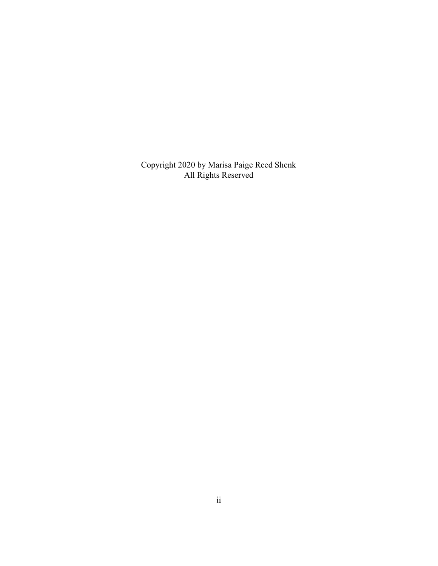Copyright 2020 by Marisa Paige Reed Shenk All Rights Reserved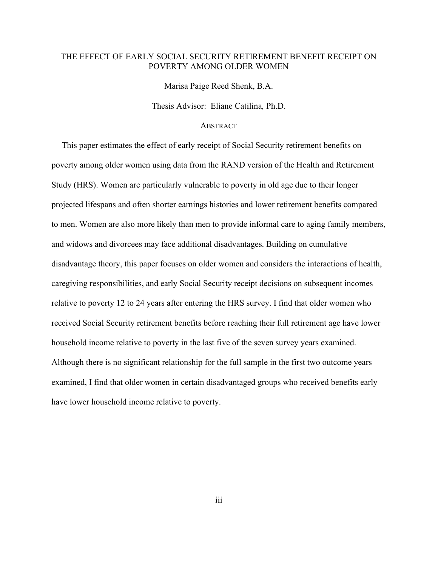## THE EFFECT OF EARLY SOCIAL SECURITY RETIREMENT BENEFIT RECEIPT ON POVERTY AMONG OLDER WOMEN

Marisa Paige Reed Shenk, B.A.

Thesis Advisor: Eliane Catilina, Ph.D.

## **ABSTRACT**

 This paper estimates the effect of early receipt of Social Security retirement benefits on poverty among older women using data from the RAND version of the Health and Retirement Study (HRS). Women are particularly vulnerable to poverty in old age due to their longer projected lifespans and often shorter earnings histories and lower retirement benefits compared to men. Women are also more likely than men to provide informal care to aging family members, and widows and divorcees may face additional disadvantages. Building on cumulative disadvantage theory, this paper focuses on older women and considers the interactions of health, caregiving responsibilities, and early Social Security receipt decisions on subsequent incomes relative to poverty 12 to 24 years after entering the HRS survey. I find that older women who received Social Security retirement benefits before reaching their full retirement age have lower household income relative to poverty in the last five of the seven survey years examined. Although there is no significant relationship for the full sample in the first two outcome years examined, I find that older women in certain disadvantaged groups who received benefits early have lower household income relative to poverty.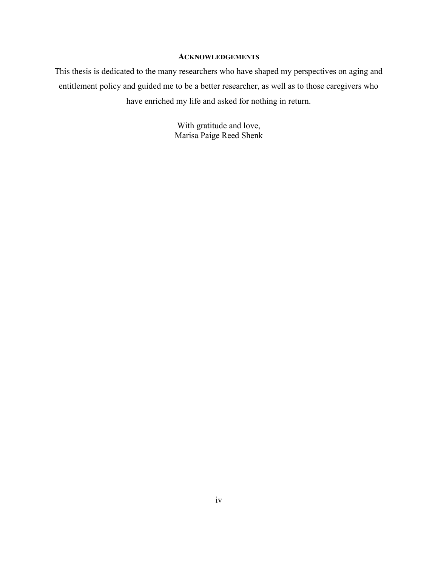# **ACKNOWLEDGEMENTS**

This thesis is dedicated to the many researchers who have shaped my perspectives on aging and entitlement policy and guided me to be a better researcher, as well as to those caregivers who have enriched my life and asked for nothing in return.

> With gratitude and love, Marisa Paige Reed Shenk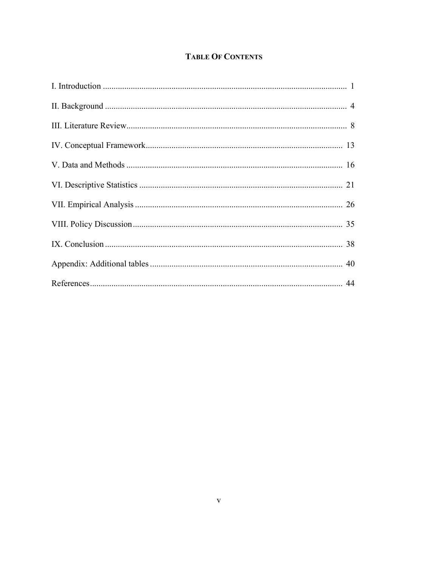# **TABLE OF CONTENTS**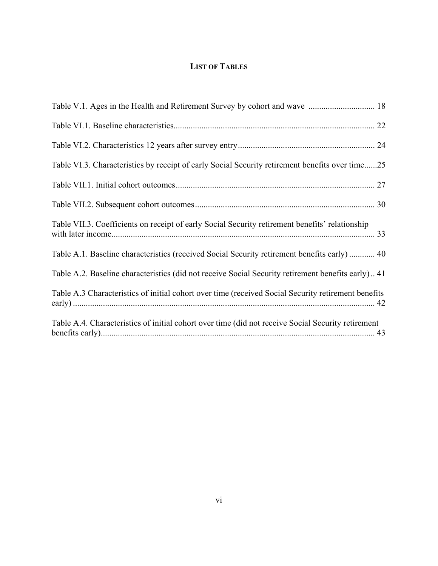# LIST OF TABLES

| Table VI.3. Characteristics by receipt of early Social Security retirement benefits over time25     |
|-----------------------------------------------------------------------------------------------------|
|                                                                                                     |
|                                                                                                     |
| Table VII.3. Coefficients on receipt of early Social Security retirement benefits' relationship     |
| Table A.1. Baseline characteristics (received Social Security retirement benefits early)  40        |
| Table A.2. Baseline characteristics (did not receive Social Security retirement benefits early) 41  |
| Table A.3 Characteristics of initial cohort over time (received Social Security retirement benefits |
| Table A.4. Characteristics of initial cohort over time (did not receive Social Security retirement  |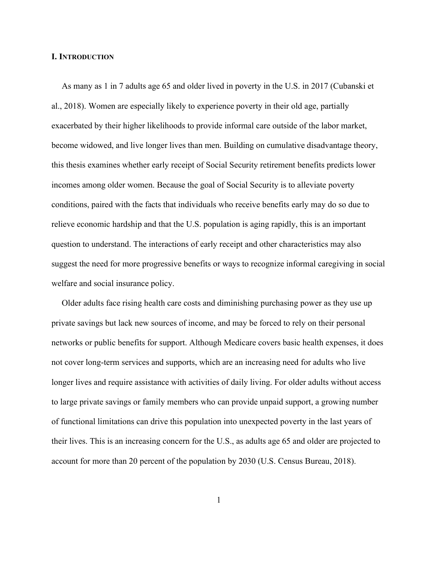#### I. INTRODUCTION

 As many as 1 in 7 adults age 65 and older lived in poverty in the U.S. in 2017 (Cubanski et al., 2018). Women are especially likely to experience poverty in their old age, partially exacerbated by their higher likelihoods to provide informal care outside of the labor market, become widowed, and live longer lives than men. Building on cumulative disadvantage theory, this thesis examines whether early receipt of Social Security retirement benefits predicts lower incomes among older women. Because the goal of Social Security is to alleviate poverty conditions, paired with the facts that individuals who receive benefits early may do so due to relieve economic hardship and that the U.S. population is aging rapidly, this is an important question to understand. The interactions of early receipt and other characteristics may also suggest the need for more progressive benefits or ways to recognize informal caregiving in social welfare and social insurance policy.

 Older adults face rising health care costs and diminishing purchasing power as they use up private savings but lack new sources of income, and may be forced to rely on their personal networks or public benefits for support. Although Medicare covers basic health expenses, it does not cover long-term services and supports, which are an increasing need for adults who live longer lives and require assistance with activities of daily living. For older adults without access to large private savings or family members who can provide unpaid support, a growing number of functional limitations can drive this population into unexpected poverty in the last years of their lives. This is an increasing concern for the U.S., as adults age 65 and older are projected to account for more than 20 percent of the population by 2030 (U.S. Census Bureau, 2018).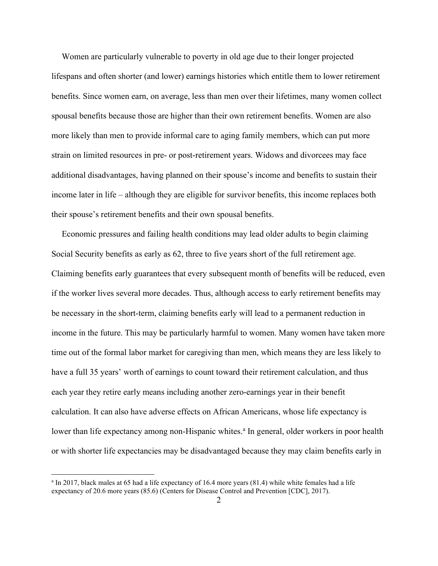Women are particularly vulnerable to poverty in old age due to their longer projected lifespans and often shorter (and lower) earnings histories which entitle them to lower retirement benefits. Since women earn, on average, less than men over their lifetimes, many women collect spousal benefits because those are higher than their own retirement benefits. Women are also more likely than men to provide informal care to aging family members, which can put more strain on limited resources in pre- or post-retirement years. Widows and divorcees may face additional disadvantages, having planned on their spouse's income and benefits to sustain their income later in life – although they are eligible for survivor benefits, this income replaces both their spouse's retirement benefits and their own spousal benefits.

 Economic pressures and failing health conditions may lead older adults to begin claiming Social Security benefits as early as 62, three to five years short of the full retirement age. Claiming benefits early guarantees that every subsequent month of benefits will be reduced, even if the worker lives several more decades. Thus, although access to early retirement benefits may be necessary in the short-term, claiming benefits early will lead to a permanent reduction in income in the future. This may be particularly harmful to women. Many women have taken more time out of the formal labor market for caregiving than men, which means they are less likely to have a full 35 years' worth of earnings to count toward their retirement calculation, and thus each year they retire early means including another zero-earnings year in their benefit calculation. It can also have adverse effects on African Americans, whose life expectancy is lower than life expectancy among non-Hispanic whites.<sup>a</sup> In general, older workers in poor health or with shorter life expectancies may be disadvantaged because they may claim benefits early in

<sup>&</sup>lt;sup>a</sup> In 2017, black males at 65 had a life expectancy of 16.4 more years (81.4) while white females had a life expectancy of 20.6 more years (85.6) (Centers for Disease Control and Prevention [CDC], 2017).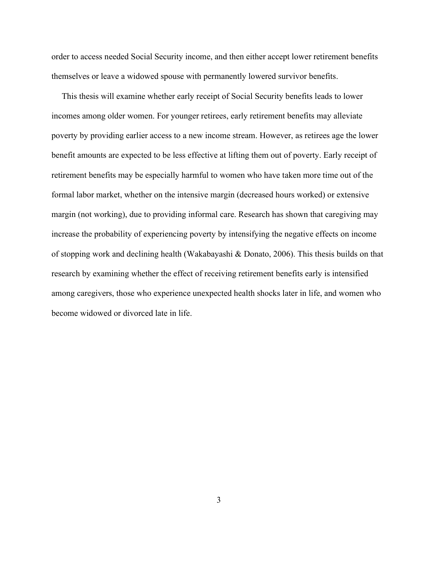order to access needed Social Security income, and then either accept lower retirement benefits themselves or leave a widowed spouse with permanently lowered survivor benefits.

 This thesis will examine whether early receipt of Social Security benefits leads to lower incomes among older women. For younger retirees, early retirement benefits may alleviate poverty by providing earlier access to a new income stream. However, as retirees age the lower benefit amounts are expected to be less effective at lifting them out of poverty. Early receipt of retirement benefits may be especially harmful to women who have taken more time out of the formal labor market, whether on the intensive margin (decreased hours worked) or extensive margin (not working), due to providing informal care. Research has shown that caregiving may increase the probability of experiencing poverty by intensifying the negative effects on income of stopping work and declining health (Wakabayashi & Donato, 2006). This thesis builds on that research by examining whether the effect of receiving retirement benefits early is intensified among caregivers, those who experience unexpected health shocks later in life, and women who become widowed or divorced late in life.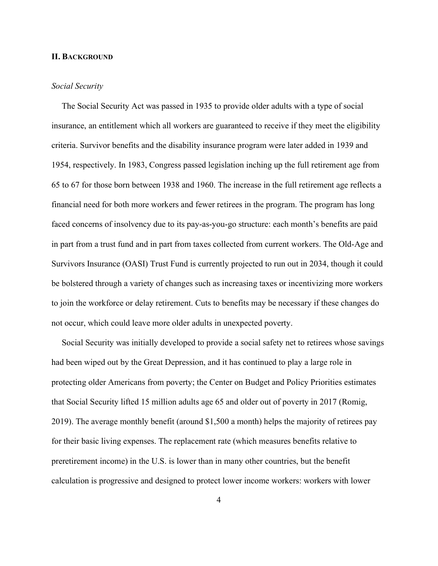#### II. BACKGROUND

## Social Security

 The Social Security Act was passed in 1935 to provide older adults with a type of social insurance, an entitlement which all workers are guaranteed to receive if they meet the eligibility criteria. Survivor benefits and the disability insurance program were later added in 1939 and 1954, respectively. In 1983, Congress passed legislation inching up the full retirement age from 65 to 67 for those born between 1938 and 1960. The increase in the full retirement age reflects a financial need for both more workers and fewer retirees in the program. The program has long faced concerns of insolvency due to its pay-as-you-go structure: each month's benefits are paid in part from a trust fund and in part from taxes collected from current workers. The Old-Age and Survivors Insurance (OASI) Trust Fund is currently projected to run out in 2034, though it could be bolstered through a variety of changes such as increasing taxes or incentivizing more workers to join the workforce or delay retirement. Cuts to benefits may be necessary if these changes do not occur, which could leave more older adults in unexpected poverty.

 Social Security was initially developed to provide a social safety net to retirees whose savings had been wiped out by the Great Depression, and it has continued to play a large role in protecting older Americans from poverty; the Center on Budget and Policy Priorities estimates that Social Security lifted 15 million adults age 65 and older out of poverty in 2017 (Romig, 2019). The average monthly benefit (around \$1,500 a month) helps the majority of retirees pay for their basic living expenses. The replacement rate (which measures benefits relative to preretirement income) in the U.S. is lower than in many other countries, but the benefit calculation is progressive and designed to protect lower income workers: workers with lower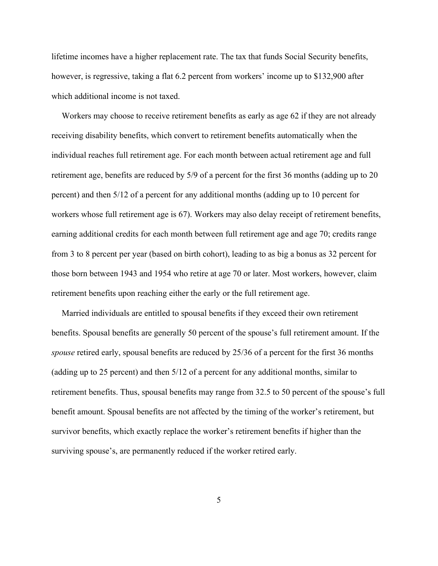lifetime incomes have a higher replacement rate. The tax that funds Social Security benefits, however, is regressive, taking a flat 6.2 percent from workers' income up to \$132,900 after which additional income is not taxed.

 Workers may choose to receive retirement benefits as early as age 62 if they are not already receiving disability benefits, which convert to retirement benefits automatically when the individual reaches full retirement age. For each month between actual retirement age and full retirement age, benefits are reduced by 5/9 of a percent for the first 36 months (adding up to 20 percent) and then 5/12 of a percent for any additional months (adding up to 10 percent for workers whose full retirement age is 67). Workers may also delay receipt of retirement benefits, earning additional credits for each month between full retirement age and age 70; credits range from 3 to 8 percent per year (based on birth cohort), leading to as big a bonus as 32 percent for those born between 1943 and 1954 who retire at age 70 or later. Most workers, however, claim retirement benefits upon reaching either the early or the full retirement age.

 Married individuals are entitled to spousal benefits if they exceed their own retirement benefits. Spousal benefits are generally 50 percent of the spouse's full retirement amount. If the spouse retired early, spousal benefits are reduced by 25/36 of a percent for the first 36 months (adding up to 25 percent) and then 5/12 of a percent for any additional months, similar to retirement benefits. Thus, spousal benefits may range from 32.5 to 50 percent of the spouse's full benefit amount. Spousal benefits are not affected by the timing of the worker's retirement, but survivor benefits, which exactly replace the worker's retirement benefits if higher than the surviving spouse's, are permanently reduced if the worker retired early.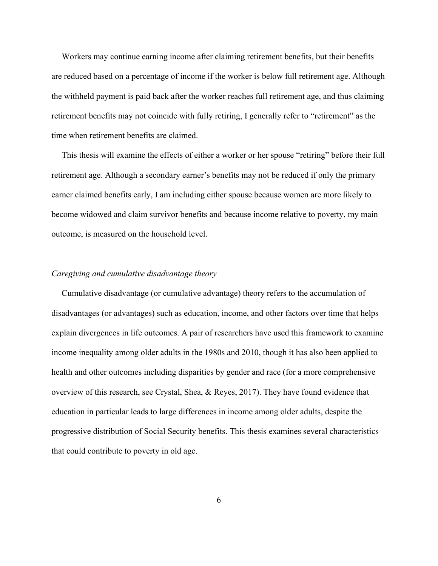Workers may continue earning income after claiming retirement benefits, but their benefits are reduced based on a percentage of income if the worker is below full retirement age. Although the withheld payment is paid back after the worker reaches full retirement age, and thus claiming retirement benefits may not coincide with fully retiring, I generally refer to "retirement" as the time when retirement benefits are claimed.

 This thesis will examine the effects of either a worker or her spouse "retiring" before their full retirement age. Although a secondary earner's benefits may not be reduced if only the primary earner claimed benefits early, I am including either spouse because women are more likely to become widowed and claim survivor benefits and because income relative to poverty, my main outcome, is measured on the household level.

#### Caregiving and cumulative disadvantage theory

 Cumulative disadvantage (or cumulative advantage) theory refers to the accumulation of disadvantages (or advantages) such as education, income, and other factors over time that helps explain divergences in life outcomes. A pair of researchers have used this framework to examine income inequality among older adults in the 1980s and 2010, though it has also been applied to health and other outcomes including disparities by gender and race (for a more comprehensive overview of this research, see Crystal, Shea, & Reyes, 2017). They have found evidence that education in particular leads to large differences in income among older adults, despite the progressive distribution of Social Security benefits. This thesis examines several characteristics that could contribute to poverty in old age.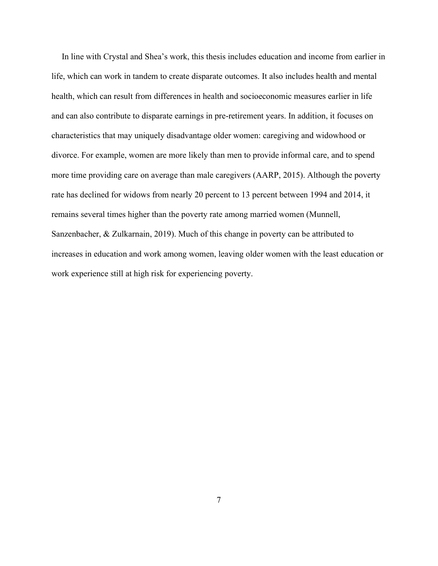In line with Crystal and Shea's work, this thesis includes education and income from earlier in life, which can work in tandem to create disparate outcomes. It also includes health and mental health, which can result from differences in health and socioeconomic measures earlier in life and can also contribute to disparate earnings in pre-retirement years. In addition, it focuses on characteristics that may uniquely disadvantage older women: caregiving and widowhood or divorce. For example, women are more likely than men to provide informal care, and to spend more time providing care on average than male caregivers (AARP, 2015). Although the poverty rate has declined for widows from nearly 20 percent to 13 percent between 1994 and 2014, it remains several times higher than the poverty rate among married women (Munnell, Sanzenbacher, & Zulkarnain, 2019). Much of this change in poverty can be attributed to increases in education and work among women, leaving older women with the least education or work experience still at high risk for experiencing poverty.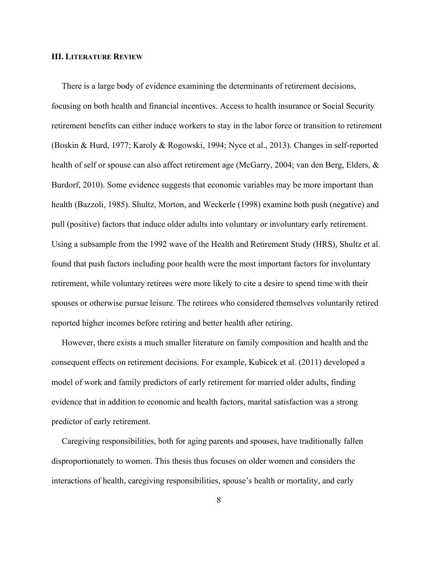#### III. LITERATURE REVIEW

 There is a large body of evidence examining the determinants of retirement decisions, focusing on both health and financial incentives. Access to health insurance or Social Security retirement benefits can either induce workers to stay in the labor force or transition to retirement (Boskin & Hurd, 1977; Karoly & Rogowski, 1994; Nyce et al., 2013). Changes in self-reported health of self or spouse can also affect retirement age (McGarry, 2004; van den Berg, Elders, & Burdorf, 2010). Some evidence suggests that economic variables may be more important than health (Bazzoli, 1985). Shultz, Morton, and Weckerle (1998) examine both push (negative) and pull (positive) factors that induce older adults into voluntary or involuntary early retirement. Using a subsample from the 1992 wave of the Health and Retirement Study (HRS), Shultz et al. found that push factors including poor health were the most important factors for involuntary retirement, while voluntary retirees were more likely to cite a desire to spend time with their spouses or otherwise pursue leisure. The retirees who considered themselves voluntarily retired reported higher incomes before retiring and better health after retiring.

 However, there exists a much smaller literature on family composition and health and the consequent effects on retirement decisions. For example, Kubicek et al. (2011) developed a model of work and family predictors of early retirement for married older adults, finding evidence that in addition to economic and health factors, marital satisfaction was a strong predictor of early retirement.

 Caregiving responsibilities, both for aging parents and spouses, have traditionally fallen disproportionately to women. This thesis thus focuses on older women and considers the interactions of health, caregiving responsibilities, spouse's health or mortality, and early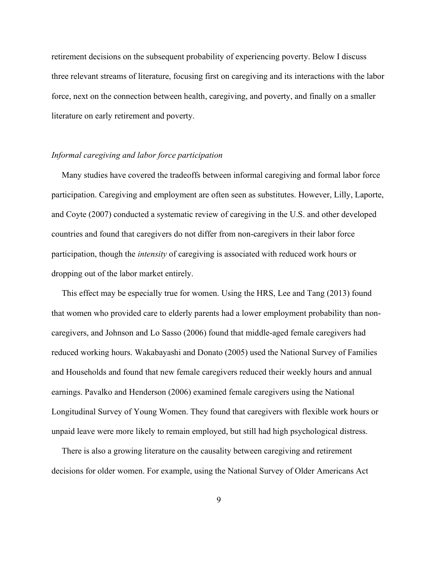retirement decisions on the subsequent probability of experiencing poverty. Below I discuss three relevant streams of literature, focusing first on caregiving and its interactions with the labor force, next on the connection between health, caregiving, and poverty, and finally on a smaller literature on early retirement and poverty.

#### Informal caregiving and labor force participation

 Many studies have covered the tradeoffs between informal caregiving and formal labor force participation. Caregiving and employment are often seen as substitutes. However, Lilly, Laporte, and Coyte (2007) conducted a systematic review of caregiving in the U.S. and other developed countries and found that caregivers do not differ from non-caregivers in their labor force participation, though the intensity of caregiving is associated with reduced work hours or dropping out of the labor market entirely.

 This effect may be especially true for women. Using the HRS, Lee and Tang (2013) found that women who provided care to elderly parents had a lower employment probability than noncaregivers, and Johnson and Lo Sasso (2006) found that middle-aged female caregivers had reduced working hours. Wakabayashi and Donato (2005) used the National Survey of Families and Households and found that new female caregivers reduced their weekly hours and annual earnings. Pavalko and Henderson (2006) examined female caregivers using the National Longitudinal Survey of Young Women. They found that caregivers with flexible work hours or unpaid leave were more likely to remain employed, but still had high psychological distress.

 There is also a growing literature on the causality between caregiving and retirement decisions for older women. For example, using the National Survey of Older Americans Act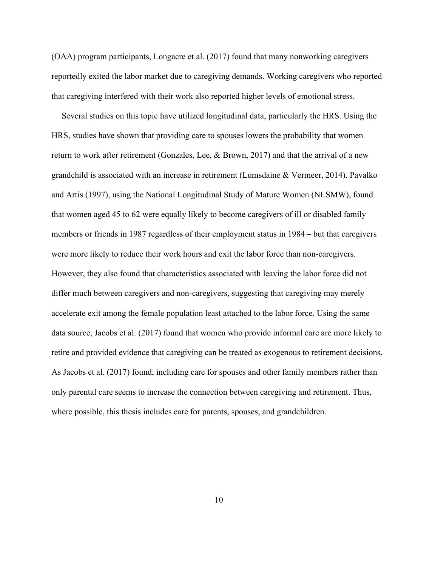(OAA) program participants, Longacre et al. (2017) found that many nonworking caregivers reportedly exited the labor market due to caregiving demands. Working caregivers who reported that caregiving interfered with their work also reported higher levels of emotional stress.

 Several studies on this topic have utilized longitudinal data, particularly the HRS. Using the HRS, studies have shown that providing care to spouses lowers the probability that women return to work after retirement (Gonzales, Lee, & Brown, 2017) and that the arrival of a new grandchild is associated with an increase in retirement (Lumsdaine & Vermeer, 2014). Pavalko and Artis (1997), using the National Longitudinal Study of Mature Women (NLSMW), found that women aged 45 to 62 were equally likely to become caregivers of ill or disabled family members or friends in 1987 regardless of their employment status in 1984 – but that caregivers were more likely to reduce their work hours and exit the labor force than non-caregivers. However, they also found that characteristics associated with leaving the labor force did not differ much between caregivers and non-caregivers, suggesting that caregiving may merely accelerate exit among the female population least attached to the labor force. Using the same data source, Jacobs et al. (2017) found that women who provide informal care are more likely to retire and provided evidence that caregiving can be treated as exogenous to retirement decisions. As Jacobs et al. (2017) found, including care for spouses and other family members rather than only parental care seems to increase the connection between caregiving and retirement. Thus, where possible, this thesis includes care for parents, spouses, and grandchildren.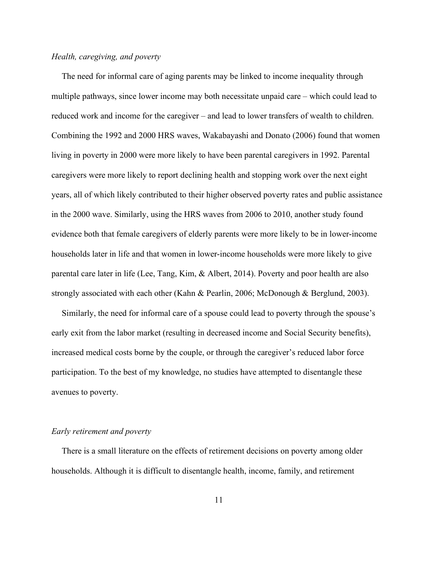#### Health, caregiving, and poverty

 The need for informal care of aging parents may be linked to income inequality through multiple pathways, since lower income may both necessitate unpaid care – which could lead to reduced work and income for the caregiver – and lead to lower transfers of wealth to children. Combining the 1992 and 2000 HRS waves, Wakabayashi and Donato (2006) found that women living in poverty in 2000 were more likely to have been parental caregivers in 1992. Parental caregivers were more likely to report declining health and stopping work over the next eight years, all of which likely contributed to their higher observed poverty rates and public assistance in the 2000 wave. Similarly, using the HRS waves from 2006 to 2010, another study found evidence both that female caregivers of elderly parents were more likely to be in lower-income households later in life and that women in lower-income households were more likely to give parental care later in life (Lee, Tang, Kim, & Albert, 2014). Poverty and poor health are also strongly associated with each other (Kahn & Pearlin, 2006; McDonough & Berglund, 2003).

 Similarly, the need for informal care of a spouse could lead to poverty through the spouse's early exit from the labor market (resulting in decreased income and Social Security benefits), increased medical costs borne by the couple, or through the caregiver's reduced labor force participation. To the best of my knowledge, no studies have attempted to disentangle these avenues to poverty.

#### Early retirement and poverty

 There is a small literature on the effects of retirement decisions on poverty among older households. Although it is difficult to disentangle health, income, family, and retirement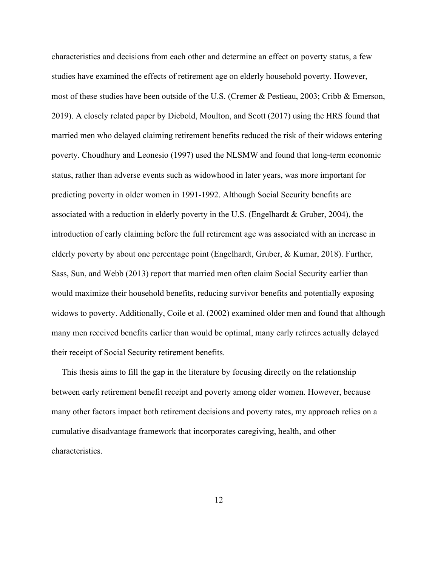characteristics and decisions from each other and determine an effect on poverty status, a few studies have examined the effects of retirement age on elderly household poverty. However, most of these studies have been outside of the U.S. (Cremer & Pestieau, 2003; Cribb & Emerson, 2019). A closely related paper by Diebold, Moulton, and Scott (2017) using the HRS found that married men who delayed claiming retirement benefits reduced the risk of their widows entering poverty. Choudhury and Leonesio (1997) used the NLSMW and found that long-term economic status, rather than adverse events such as widowhood in later years, was more important for predicting poverty in older women in 1991-1992. Although Social Security benefits are associated with a reduction in elderly poverty in the U.S. (Engelhardt & Gruber, 2004), the introduction of early claiming before the full retirement age was associated with an increase in elderly poverty by about one percentage point (Engelhardt, Gruber, & Kumar, 2018). Further, Sass, Sun, and Webb (2013) report that married men often claim Social Security earlier than would maximize their household benefits, reducing survivor benefits and potentially exposing widows to poverty. Additionally, Coile et al. (2002) examined older men and found that although many men received benefits earlier than would be optimal, many early retirees actually delayed their receipt of Social Security retirement benefits.

 This thesis aims to fill the gap in the literature by focusing directly on the relationship between early retirement benefit receipt and poverty among older women. However, because many other factors impact both retirement decisions and poverty rates, my approach relies on a cumulative disadvantage framework that incorporates caregiving, health, and other characteristics.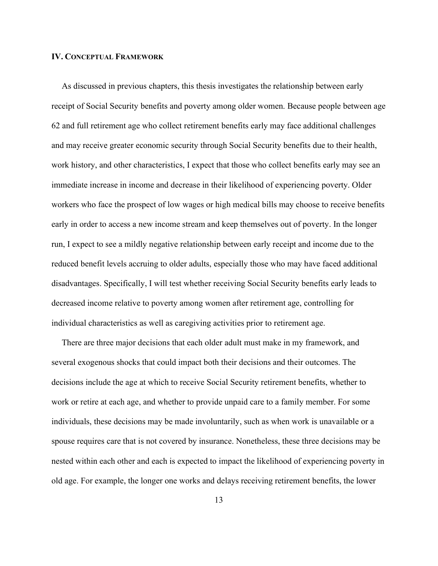## IV. CONCEPTUAL FRAMEWORK

 As discussed in previous chapters, this thesis investigates the relationship between early receipt of Social Security benefits and poverty among older women. Because people between age 62 and full retirement age who collect retirement benefits early may face additional challenges and may receive greater economic security through Social Security benefits due to their health, work history, and other characteristics, I expect that those who collect benefits early may see an immediate increase in income and decrease in their likelihood of experiencing poverty. Older workers who face the prospect of low wages or high medical bills may choose to receive benefits early in order to access a new income stream and keep themselves out of poverty. In the longer run, I expect to see a mildly negative relationship between early receipt and income due to the reduced benefit levels accruing to older adults, especially those who may have faced additional disadvantages. Specifically, I will test whether receiving Social Security benefits early leads to decreased income relative to poverty among women after retirement age, controlling for individual characteristics as well as caregiving activities prior to retirement age.

 There are three major decisions that each older adult must make in my framework, and several exogenous shocks that could impact both their decisions and their outcomes. The decisions include the age at which to receive Social Security retirement benefits, whether to work or retire at each age, and whether to provide unpaid care to a family member. For some individuals, these decisions may be made involuntarily, such as when work is unavailable or a spouse requires care that is not covered by insurance. Nonetheless, these three decisions may be nested within each other and each is expected to impact the likelihood of experiencing poverty in old age. For example, the longer one works and delays receiving retirement benefits, the lower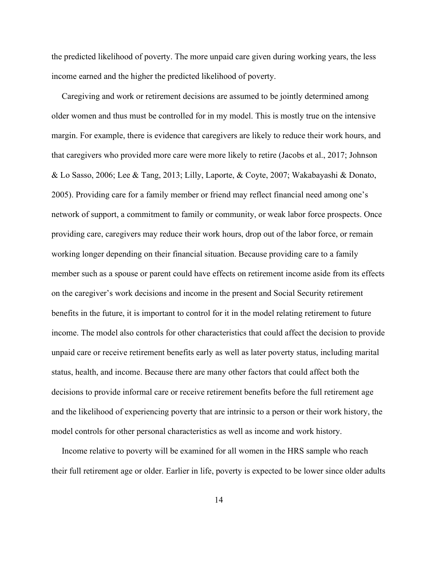the predicted likelihood of poverty. The more unpaid care given during working years, the less income earned and the higher the predicted likelihood of poverty.

 Caregiving and work or retirement decisions are assumed to be jointly determined among older women and thus must be controlled for in my model. This is mostly true on the intensive margin. For example, there is evidence that caregivers are likely to reduce their work hours, and that caregivers who provided more care were more likely to retire (Jacobs et al., 2017; Johnson & Lo Sasso, 2006; Lee & Tang, 2013; Lilly, Laporte, & Coyte, 2007; Wakabayashi & Donato, 2005). Providing care for a family member or friend may reflect financial need among one's network of support, a commitment to family or community, or weak labor force prospects. Once providing care, caregivers may reduce their work hours, drop out of the labor force, or remain working longer depending on their financial situation. Because providing care to a family member such as a spouse or parent could have effects on retirement income aside from its effects on the caregiver's work decisions and income in the present and Social Security retirement benefits in the future, it is important to control for it in the model relating retirement to future income. The model also controls for other characteristics that could affect the decision to provide unpaid care or receive retirement benefits early as well as later poverty status, including marital status, health, and income. Because there are many other factors that could affect both the decisions to provide informal care or receive retirement benefits before the full retirement age and the likelihood of experiencing poverty that are intrinsic to a person or their work history, the model controls for other personal characteristics as well as income and work history.

 Income relative to poverty will be examined for all women in the HRS sample who reach their full retirement age or older. Earlier in life, poverty is expected to be lower since older adults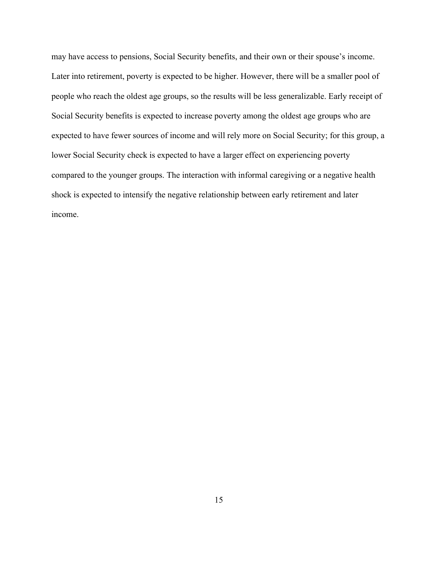may have access to pensions, Social Security benefits, and their own or their spouse's income. Later into retirement, poverty is expected to be higher. However, there will be a smaller pool of people who reach the oldest age groups, so the results will be less generalizable. Early receipt of Social Security benefits is expected to increase poverty among the oldest age groups who are expected to have fewer sources of income and will rely more on Social Security; for this group, a lower Social Security check is expected to have a larger effect on experiencing poverty compared to the younger groups. The interaction with informal caregiving or a negative health shock is expected to intensify the negative relationship between early retirement and later income.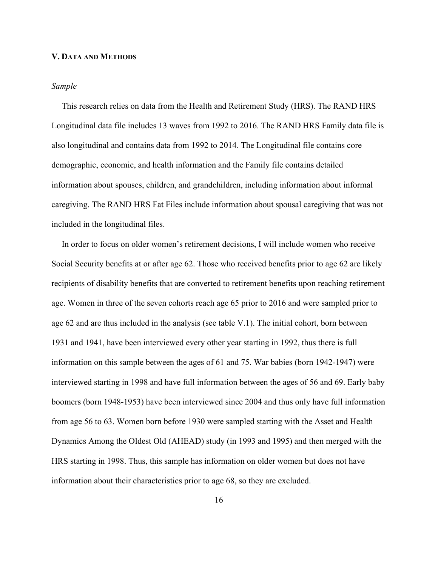#### V. DATA AND METHODS

## Sample

 This research relies on data from the Health and Retirement Study (HRS). The RAND HRS Longitudinal data file includes 13 waves from 1992 to 2016. The RAND HRS Family data file is also longitudinal and contains data from 1992 to 2014. The Longitudinal file contains core demographic, economic, and health information and the Family file contains detailed information about spouses, children, and grandchildren, including information about informal caregiving. The RAND HRS Fat Files include information about spousal caregiving that was not included in the longitudinal files.

 In order to focus on older women's retirement decisions, I will include women who receive Social Security benefits at or after age 62. Those who received benefits prior to age 62 are likely recipients of disability benefits that are converted to retirement benefits upon reaching retirement age. Women in three of the seven cohorts reach age 65 prior to 2016 and were sampled prior to age 62 and are thus included in the analysis (see table V.1). The initial cohort, born between 1931 and 1941, have been interviewed every other year starting in 1992, thus there is full information on this sample between the ages of 61 and 75. War babies (born 1942-1947) were interviewed starting in 1998 and have full information between the ages of 56 and 69. Early baby boomers (born 1948-1953) have been interviewed since 2004 and thus only have full information from age 56 to 63. Women born before 1930 were sampled starting with the Asset and Health Dynamics Among the Oldest Old (AHEAD) study (in 1993 and 1995) and then merged with the HRS starting in 1998. Thus, this sample has information on older women but does not have information about their characteristics prior to age 68, so they are excluded.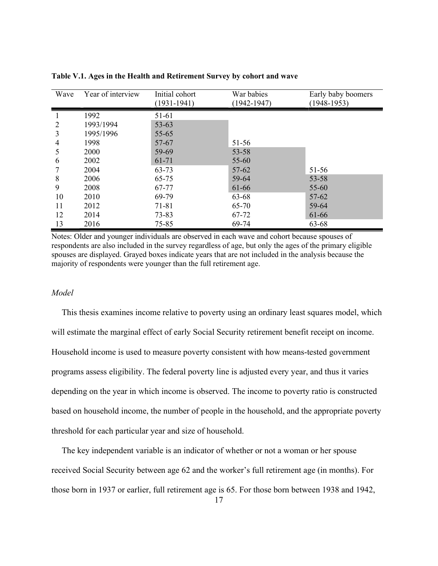| Wave | Year of interview | Initial cohort<br>$(1931 - 1941)$ | War babies<br>$(1942 - 1947)$ | Early baby boomers<br>$(1948-1953)$ |
|------|-------------------|-----------------------------------|-------------------------------|-------------------------------------|
|      | 1992              | 51-61                             |                               |                                     |
| 2    | 1993/1994         | $53 - 63$                         |                               |                                     |
| 3    | 1995/1996         | $55 - 65$                         |                               |                                     |
| 4    | 1998              | 57-67                             | 51-56                         |                                     |
| 5    | 2000              | 59-69                             | $53 - 58$                     |                                     |
| 6    | 2002              | 61-71                             | 55-60                         |                                     |
|      | 2004              | 63-73                             | $57 - 62$                     | $51 - 56$                           |
| 8    | 2006              | 65-75                             | 59-64                         | $53 - 58$                           |
| 9    | 2008              | 67-77                             | 61-66                         | 55-60                               |
| 10   | 2010              | 69-79                             | 63-68                         | $57 - 62$                           |
| 11   | 2012              | 71-81                             | 65-70                         | 59-64                               |
| 12   | 2014              | 73-83                             | 67-72                         | 61-66                               |
| 13   | 2016              | 75-85                             | 69-74                         | 63-68                               |

Table V.1. Ages in the Health and Retirement Survey by cohort and wave

Notes: Older and younger individuals are observed in each wave and cohort because spouses of respondents are also included in the survey regardless of age, but only the ages of the primary eligible spouses are displayed. Grayed boxes indicate years that are not included in the analysis because the majority of respondents were younger than the full retirement age.

## Model

 This thesis examines income relative to poverty using an ordinary least squares model, which will estimate the marginal effect of early Social Security retirement benefit receipt on income. Household income is used to measure poverty consistent with how means-tested government programs assess eligibility. The federal poverty line is adjusted every year, and thus it varies depending on the year in which income is observed. The income to poverty ratio is constructed based on household income, the number of people in the household, and the appropriate poverty threshold for each particular year and size of household.

 The key independent variable is an indicator of whether or not a woman or her spouse received Social Security between age 62 and the worker's full retirement age (in months). For those born in 1937 or earlier, full retirement age is 65. For those born between 1938 and 1942,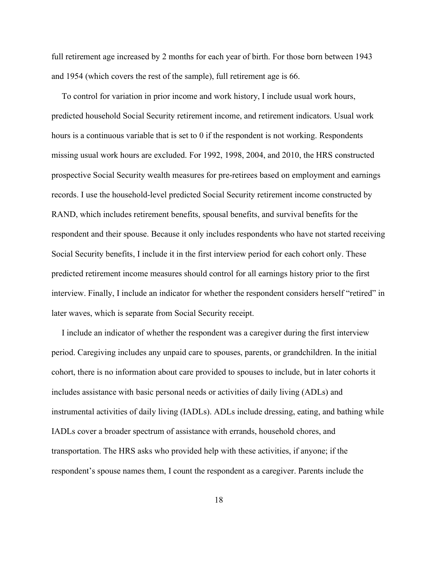full retirement age increased by 2 months for each year of birth. For those born between 1943 and 1954 (which covers the rest of the sample), full retirement age is 66.

 To control for variation in prior income and work history, I include usual work hours, predicted household Social Security retirement income, and retirement indicators. Usual work hours is a continuous variable that is set to 0 if the respondent is not working. Respondents missing usual work hours are excluded. For 1992, 1998, 2004, and 2010, the HRS constructed prospective Social Security wealth measures for pre-retirees based on employment and earnings records. I use the household-level predicted Social Security retirement income constructed by RAND, which includes retirement benefits, spousal benefits, and survival benefits for the respondent and their spouse. Because it only includes respondents who have not started receiving Social Security benefits, I include it in the first interview period for each cohort only. These predicted retirement income measures should control for all earnings history prior to the first interview. Finally, I include an indicator for whether the respondent considers herself "retired" in later waves, which is separate from Social Security receipt.

 I include an indicator of whether the respondent was a caregiver during the first interview period. Caregiving includes any unpaid care to spouses, parents, or grandchildren. In the initial cohort, there is no information about care provided to spouses to include, but in later cohorts it includes assistance with basic personal needs or activities of daily living (ADLs) and instrumental activities of daily living (IADLs). ADLs include dressing, eating, and bathing while IADLs cover a broader spectrum of assistance with errands, household chores, and transportation. The HRS asks who provided help with these activities, if anyone; if the respondent's spouse names them, I count the respondent as a caregiver. Parents include the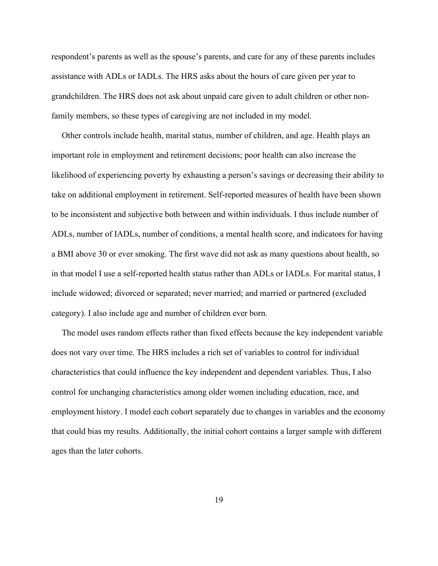respondent's parents as well as the spouse's parents, and care for any of these parents includes assistance with ADLs or IADLs. The HRS asks about the hours of care given per year to grandchildren. The HRS does not ask about unpaid care given to adult children or other nonfamily members, so these types of caregiving are not included in my model.

 Other controls include health, marital status, number of children, and age. Health plays an important role in employment and retirement decisions; poor health can also increase the likelihood of experiencing poverty by exhausting a person's savings or decreasing their ability to take on additional employment in retirement. Self-reported measures of health have been shown to be inconsistent and subjective both between and within individuals. I thus include number of ADLs, number of IADLs, number of conditions, a mental health score, and indicators for having a BMI above 30 or ever smoking. The first wave did not ask as many questions about health, so in that model I use a self-reported health status rather than ADLs or IADLs. For marital status, I include widowed; divorced or separated; never married; and married or partnered (excluded category). I also include age and number of children ever born.

 The model uses random effects rather than fixed effects because the key independent variable does not vary over time. The HRS includes a rich set of variables to control for individual characteristics that could influence the key independent and dependent variables. Thus, I also control for unchanging characteristics among older women including education, race, and employment history. I model each cohort separately due to changes in variables and the economy that could bias my results. Additionally, the initial cohort contains a larger sample with different ages than the later cohorts.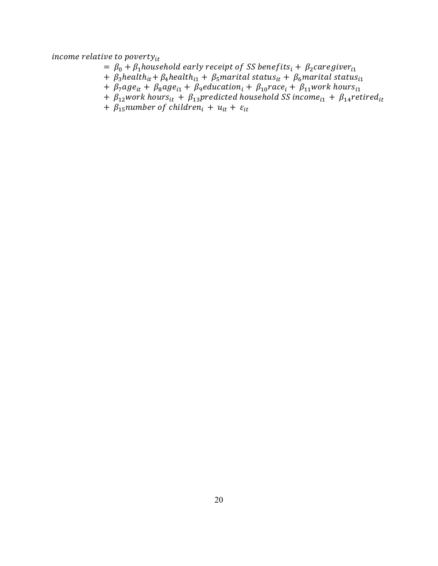income relative to poverty $_{it}$ 

- $= \beta_0 + \beta_1$ household early receipt of SS benefits<sub>i</sub> +  $\beta_2$ caregiver<sub>i1</sub>
- +  $\beta_3$ health<sub>it</sub> +  $\beta_4$ health<sub>i1</sub> +  $\beta_5$ marital status<sub>it</sub> +  $\beta_6$ marital status<sub>i1</sub>
- +  $\beta_7$ age<sub>it</sub> +  $\beta_8$ age<sub>i1</sub> +  $\beta_9$ education<sub>i</sub> +  $\beta_{10}$ race<sub>i</sub> +  $\beta_{11}$ work hours<sub>i1</sub>
- +  $\beta_{12}$ work hours<sub>it</sub> +  $\beta_{13}$ predicted household SS income<sub>i1</sub> +  $\beta_{14}$ retired<sub>it</sub>
- +  $\beta_{15}$ number of children<sub>i</sub> +  $u_{it}$  +  $\varepsilon_{it}$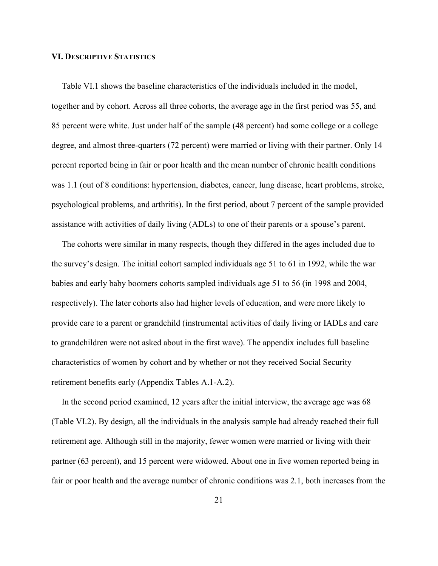## VI. DESCRIPTIVE STATISTICS

 Table VI.1 shows the baseline characteristics of the individuals included in the model, together and by cohort. Across all three cohorts, the average age in the first period was 55, and 85 percent were white. Just under half of the sample (48 percent) had some college or a college degree, and almost three-quarters (72 percent) were married or living with their partner. Only 14 percent reported being in fair or poor health and the mean number of chronic health conditions was 1.1 (out of 8 conditions: hypertension, diabetes, cancer, lung disease, heart problems, stroke, psychological problems, and arthritis). In the first period, about 7 percent of the sample provided assistance with activities of daily living (ADLs) to one of their parents or a spouse's parent.

 The cohorts were similar in many respects, though they differed in the ages included due to the survey's design. The initial cohort sampled individuals age 51 to 61 in 1992, while the war babies and early baby boomers cohorts sampled individuals age 51 to 56 (in 1998 and 2004, respectively). The later cohorts also had higher levels of education, and were more likely to provide care to a parent or grandchild (instrumental activities of daily living or IADLs and care to grandchildren were not asked about in the first wave). The appendix includes full baseline characteristics of women by cohort and by whether or not they received Social Security retirement benefits early (Appendix Tables A.1-A.2).

 In the second period examined, 12 years after the initial interview, the average age was 68 (Table VI.2). By design, all the individuals in the analysis sample had already reached their full retirement age. Although still in the majority, fewer women were married or living with their partner (63 percent), and 15 percent were widowed. About one in five women reported being in fair or poor health and the average number of chronic conditions was 2.1, both increases from the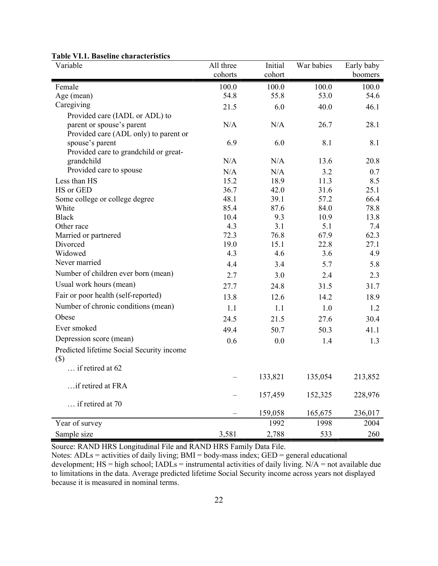| Variable                                            | All three | Initial | War babies | Early baby |
|-----------------------------------------------------|-----------|---------|------------|------------|
|                                                     | cohorts   | cohort  |            | boomers    |
| Female                                              | 100.0     | 100.0   | 100.0      | 100.0      |
| Age (mean)                                          | 54.8      | 55.8    | 53.0       | 54.6       |
| Caregiving                                          | 21.5      | 6.0     | 40.0       | 46.1       |
| Provided care (IADL or ADL) to                      |           |         |            |            |
| parent or spouse's parent                           | N/A       | N/A     | 26.7       | 28.1       |
| Provided care (ADL only) to parent or               |           |         |            |            |
| spouse's parent                                     | 6.9       | 6.0     | 8.1        | 8.1        |
| Provided care to grandchild or great-               |           |         |            |            |
| grandchild                                          | N/A       | N/A     | 13.6       | 20.8       |
| Provided care to spouse                             | N/A       | N/A     | 3.2        | 0.7        |
| Less than HS                                        | 15.2      | 18.9    | 11.3       | 8.5        |
| HS or GED                                           | 36.7      | 42.0    | 31.6       | 25.1       |
| Some college or college degree                      | 48.1      | 39.1    | 57.2       | 66.4       |
| White                                               | 85.4      | 87.6    | 84.0       | 78.8       |
| <b>Black</b>                                        | 10.4      | 9.3     | 10.9       | 13.8       |
| Other race                                          | 4.3       | 3.1     | 5.1        | 7.4        |
| Married or partnered                                | 72.3      | 76.8    | 67.9       | 62.3       |
| Divorced                                            | 19.0      | 15.1    | 22.8       | 27.1       |
| Widowed<br>Never married                            | 4.3       | 4.6     | 3.6        | 4.9        |
|                                                     | 4.4       | 3.4     | 5.7        | 5.8        |
| Number of children ever born (mean)                 | 2.7       | 3.0     | 2.4        | 2.3        |
| Usual work hours (mean)                             | 27.7      | 24.8    | 31.5       | 31.7       |
| Fair or poor health (self-reported)                 | 13.8      | 12.6    | 14.2       | 18.9       |
| Number of chronic conditions (mean)                 | 1.1       | 1.1     | 1.0        | 1.2        |
| Obese                                               | 24.5      | 21.5    | 27.6       | 30.4       |
| Ever smoked                                         | 49.4      | 50.7    | 50.3       | 41.1       |
| Depression score (mean)                             | 0.6       | 0.0     | 1.4        | 1.3        |
| Predicted lifetime Social Security income<br>$(\$)$ |           |         |            |            |
| if retired at 62                                    |           |         |            |            |
|                                                     |           | 133,821 | 135,054    | 213,852    |
| if retired at FRA                                   |           |         |            |            |
|                                                     |           | 157,459 | 152,325    | 228,976    |
| if retired at 70                                    |           |         |            |            |
|                                                     |           | 159,058 | 165,675    | 236,017    |
| Year of survey                                      |           | 1992    | 1998       | 2004       |
| Sample size                                         | 3,581     | 2,788   | 533        | 260        |

#### Table VI.1. Baseline characteristics

Source: RAND HRS Longitudinal File and RAND HRS Family Data File.

Notes: ADLs = activities of daily living; BMI = body-mass index; GED = general educational development;  $HS = high school$ ;  $IADLs = instrumental$  activities of daily living.  $N/A = not available due$ to limitations in the data. Average predicted lifetime Social Security income across years not displayed because it is measured in nominal terms.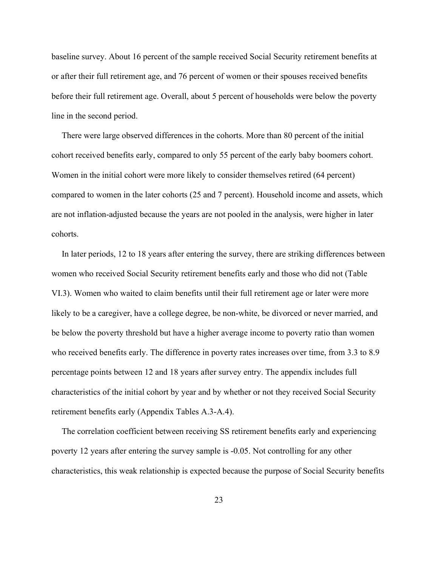baseline survey. About 16 percent of the sample received Social Security retirement benefits at or after their full retirement age, and 76 percent of women or their spouses received benefits before their full retirement age. Overall, about 5 percent of households were below the poverty line in the second period.

 There were large observed differences in the cohorts. More than 80 percent of the initial cohort received benefits early, compared to only 55 percent of the early baby boomers cohort. Women in the initial cohort were more likely to consider themselves retired (64 percent) compared to women in the later cohorts (25 and 7 percent). Household income and assets, which are not inflation-adjusted because the years are not pooled in the analysis, were higher in later cohorts.

 In later periods, 12 to 18 years after entering the survey, there are striking differences between women who received Social Security retirement benefits early and those who did not (Table VI.3). Women who waited to claim benefits until their full retirement age or later were more likely to be a caregiver, have a college degree, be non-white, be divorced or never married, and be below the poverty threshold but have a higher average income to poverty ratio than women who received benefits early. The difference in poverty rates increases over time, from 3.3 to 8.9 percentage points between 12 and 18 years after survey entry. The appendix includes full characteristics of the initial cohort by year and by whether or not they received Social Security retirement benefits early (Appendix Tables A.3-A.4).

 The correlation coefficient between receiving SS retirement benefits early and experiencing poverty 12 years after entering the survey sample is -0.05. Not controlling for any other characteristics, this weak relationship is expected because the purpose of Social Security benefits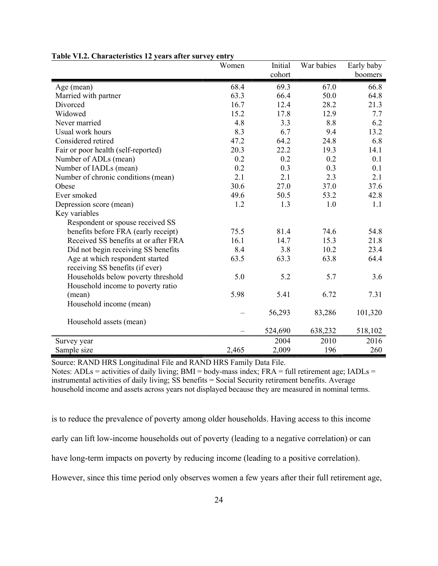|                                      | Women | Initial | War babies | Early baby |
|--------------------------------------|-------|---------|------------|------------|
|                                      |       | cohort  |            | boomers    |
| Age (mean)                           | 68.4  | 69.3    | 67.0       | 66.8       |
| Married with partner                 | 63.3  | 66.4    | 50.0       | 64.8       |
| Divorced                             | 16.7  | 12.4    | 28.2       | 21.3       |
| Widowed                              | 15.2  | 17.8    | 12.9       | 7.7        |
| Never married                        | 4.8   | 3.3     | 8.8        | 6.2        |
| Usual work hours                     | 8.3   | 6.7     | 9.4        | 13.2       |
| Considered retired                   | 47.2  | 64.2    | 24.8       | 6.8        |
| Fair or poor health (self-reported)  | 20.3  | 22.2    | 19.3       | 14.1       |
| Number of ADLs (mean)                | 0.2   | 0.2     | 0.2        | 0.1        |
| Number of IADLs (mean)               | 0.2   | 0.3     | 0.3        | 0.1        |
| Number of chronic conditions (mean)  | 2.1   | 2.1     | 2.3        | 2.1        |
| Obese                                | 30.6  | 27.0    | 37.0       | 37.6       |
| Ever smoked                          | 49.6  | 50.5    | 53.2       | 42.8       |
| Depression score (mean)              | 1.2   | 1.3     | 1.0        | 1.1        |
| Key variables                        |       |         |            |            |
| Respondent or spouse received SS     |       |         |            |            |
| benefits before FRA (early receipt)  | 75.5  | 81.4    | 74.6       | 54.8       |
| Received SS benefits at or after FRA | 16.1  | 14.7    | 15.3       | 21.8       |
| Did not begin receiving SS benefits  | 8.4   | 3.8     | 10.2       | 23.4       |
| Age at which respondent started      | 63.5  | 63.3    | 63.8       | 64.4       |
| receiving SS benefits (if ever)      |       |         |            |            |
| Households below poverty threshold   | 5.0   | 5.2     | 5.7        | 3.6        |
| Household income to poverty ratio    |       |         |            |            |
| (mean)                               | 5.98  | 5.41    | 6.72       | 7.31       |
| Household income (mean)              |       |         |            |            |
|                                      |       | 56,293  | 83,286     | 101,320    |
| Household assets (mean)              |       |         |            |            |
|                                      |       | 524,690 | 638,232    | 518,102    |
| Survey year                          |       | 2004    | 2010       | 2016       |
| Sample size                          | 2,465 | 2,009   | 196        | 260        |

#### Table VI.2. Characteristics 12 years after survey entry

Source: RAND HRS Longitudinal File and RAND HRS Family Data File.

Notes:  $ADLs =$  activities of daily living;  $BMI =$  body-mass index;  $FRA =$  full retirement age;  $IADLs =$ instrumental activities of daily living; SS benefits = Social Security retirement benefits. Average household income and assets across years not displayed because they are measured in nominal terms.

is to reduce the prevalence of poverty among older households. Having access to this income early can lift low-income households out of poverty (leading to a negative correlation) or can have long-term impacts on poverty by reducing income (leading to a positive correlation). However, since this time period only observes women a few years after their full retirement age,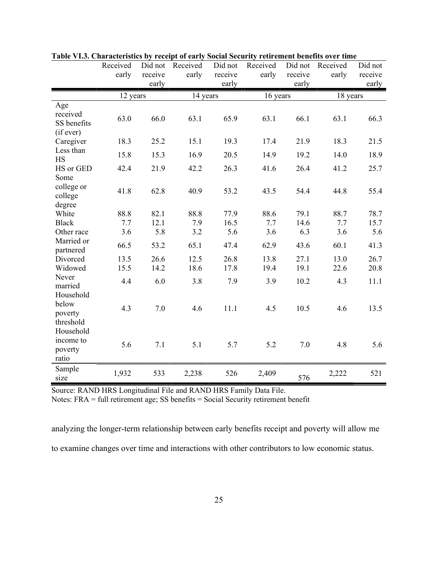|                                             | Received<br>early | Did not<br>receive | Received<br>early | Did not<br>receive | Received<br>early | Did not<br>receive | Received<br>early | Did not<br>receive |
|---------------------------------------------|-------------------|--------------------|-------------------|--------------------|-------------------|--------------------|-------------------|--------------------|
|                                             |                   | early              |                   | early              |                   | early              |                   | early              |
|                                             | 12 years          |                    | 14 years          |                    | 16 years          |                    | 18 years          |                    |
| Age<br>received<br>SS benefits<br>(if ever) | 63.0              | 66.0               | 63.1              | 65.9               | 63.1              | 66.1               | 63.1              | 66.3               |
| Caregiver                                   | 18.3              | 25.2               | 15.1              | 19.3               | 17.4              | 21.9               | 18.3              | 21.5               |
| Less than<br><b>HS</b>                      | 15.8              | 15.3               | 16.9              | 20.5               | 14.9              | 19.2               | 14.0              | 18.9               |
| HS or GED<br>Some                           | 42.4              | 21.9               | 42.2              | 26.3               | 41.6              | 26.4               | 41.2              | 25.7               |
| college or<br>college<br>degree             | 41.8              | 62.8               | 40.9              | 53.2               | 43.5              | 54.4               | 44.8              | 55.4               |
| White                                       | 88.8              | 82.1               | 88.8              | 77.9               | 88.6              | 79.1               | 88.7              | 78.7               |
| <b>Black</b>                                | 7.7               | 12.1               | 7.9               | 16.5               | 7.7               | 14.6               | 7.7               | 15.7               |
| Other race                                  | 3.6               | 5.8                | 3.2               | 5.6                | 3.6               | 6.3                | 3.6               | 5.6                |
| Married or<br>partnered                     | 66.5              | 53.2               | 65.1              | 47.4               | 62.9              | 43.6               | 60.1              | 41.3               |
| Divorced                                    | 13.5              | 26.6               | 12.5              | 26.8               | 13.8              | 27.1               | 13.0              | 26.7               |
| Widowed                                     | 15.5              | 14.2               | 18.6              | 17.8               | 19.4              | 19.1               | 22.6              | 20.8               |
| Never<br>married                            | 4.4               | 6.0                | 3.8               | 7.9                | 3.9               | 10.2               | 4.3               | 11.1               |
| Household<br>below<br>poverty<br>threshold  | 4.3               | 7.0                | 4.6               | 11.1               | 4.5               | 10.5               | 4.6               | 13.5               |
| Household<br>income to<br>poverty<br>ratio  | 5.6               | 7.1                | 5.1               | 5.7                | 5.2               | 7.0                | 4.8               | 5.6                |
| Sample<br>size                              | 1,932             | 533                | 2,238             | 526                | 2,409             | 576                | 2,222             | 521                |

|  |  | Table VI.3. Characteristics by receipt of early Social Security retirement benefits over time |
|--|--|-----------------------------------------------------------------------------------------------|
|  |  |                                                                                               |

Notes: FRA = full retirement age; SS benefits = Social Security retirement benefit

analyzing the longer-term relationship between early benefits receipt and poverty will allow me

to examine changes over time and interactions with other contributors to low economic status.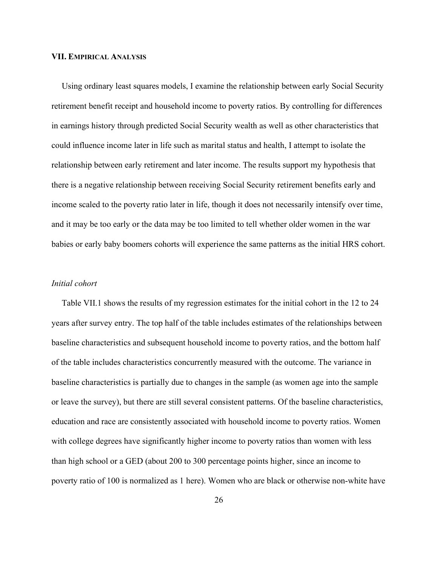#### VII. EMPIRICAL ANALYSIS

 Using ordinary least squares models, I examine the relationship between early Social Security retirement benefit receipt and household income to poverty ratios. By controlling for differences in earnings history through predicted Social Security wealth as well as other characteristics that could influence income later in life such as marital status and health, I attempt to isolate the relationship between early retirement and later income. The results support my hypothesis that there is a negative relationship between receiving Social Security retirement benefits early and income scaled to the poverty ratio later in life, though it does not necessarily intensify over time, and it may be too early or the data may be too limited to tell whether older women in the war babies or early baby boomers cohorts will experience the same patterns as the initial HRS cohort.

#### Initial cohort

 Table VII.1 shows the results of my regression estimates for the initial cohort in the 12 to 24 years after survey entry. The top half of the table includes estimates of the relationships between baseline characteristics and subsequent household income to poverty ratios, and the bottom half of the table includes characteristics concurrently measured with the outcome. The variance in baseline characteristics is partially due to changes in the sample (as women age into the sample or leave the survey), but there are still several consistent patterns. Of the baseline characteristics, education and race are consistently associated with household income to poverty ratios. Women with college degrees have significantly higher income to poverty ratios than women with less than high school or a GED (about 200 to 300 percentage points higher, since an income to poverty ratio of 100 is normalized as 1 here). Women who are black or otherwise non-white have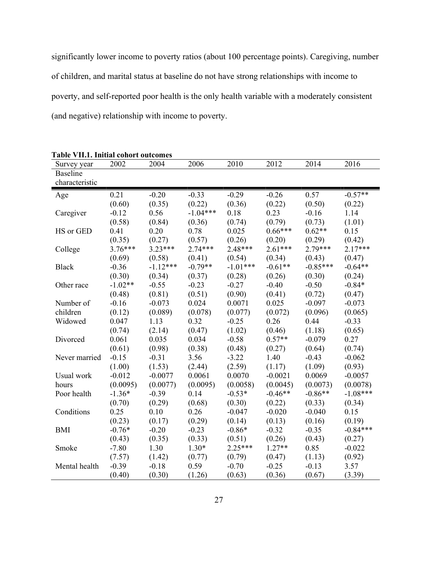significantly lower income to poverty ratios (about 100 percentage points). Caregiving, number of children, and marital status at baseline do not have strong relationships with income to poverty, and self-reported poor health is the only health variable with a moderately consistent (and negative) relationship with income to poverty.

| Survey year     | , min muua conor coucomes<br>2002 | 2004       | 2006       | 2010       | 2012      | 2014       | 2016       |
|-----------------|-----------------------------------|------------|------------|------------|-----------|------------|------------|
| <b>Baseline</b> |                                   |            |            |            |           |            |            |
| characteristic  |                                   |            |            |            |           |            |            |
| Age             | 0.21                              | $-0.20$    | $-0.33$    | $-0.29$    | $-0.26$   | 0.57       | $-0.57**$  |
|                 | (0.60)                            | (0.35)     | (0.22)     | (0.36)     | (0.22)    | (0.50)     | (0.22)     |
| Caregiver       | $-0.12$                           | 0.56       | $-1.04***$ | 0.18       | 0.23      | $-0.16$    | 1.14       |
|                 | (0.58)                            | (0.84)     | (0.36)     | (0.74)     | (0.79)    | (0.73)     | (1.01)     |
| HS or GED       | 0.41                              | 0.20       | 0.78       | 0.025      | $0.66***$ | $0.62**$   | 0.15       |
|                 | (0.35)                            | (0.27)     | (0.57)     | (0.26)     | (0.20)    | (0.29)     | (0.42)     |
| College         | $3.76***$                         | $3.23***$  | $2.74***$  | $2.48***$  | $2.61***$ | $2.79***$  | $2.17***$  |
|                 | (0.69)                            | (0.58)     | (0.41)     | (0.54)     | (0.34)    | (0.43)     | (0.47)     |
| <b>Black</b>    | $-0.36$                           | $-1.12***$ | $-0.79**$  | $-1.01***$ | $-0.61**$ | $-0.85***$ | $-0.64**$  |
|                 | (0.30)                            | (0.34)     | (0.37)     | (0.28)     | (0.26)    | (0.30)     | (0.24)     |
| Other race      | $-1.02**$                         | $-0.55$    | $-0.23$    | $-0.27$    | $-0.40$   | $-0.50$    | $-0.84*$   |
|                 | (0.48)                            | (0.81)     | (0.51)     | (0.90)     | (0.41)    | (0.72)     | (0.47)     |
| Number of       | $-0.16$                           | $-0.073$   | 0.024      | 0.0071     | 0.025     | $-0.097$   | $-0.073$   |
| children        | (0.12)                            | (0.089)    | (0.078)    | (0.077)    | (0.072)   | (0.096)    | (0.065)    |
| Widowed         | 0.047                             | 1.13       | 0.32       | $-0.25$    | 0.26      | 0.44       | $-0.33$    |
|                 | (0.74)                            | (2.14)     | (0.47)     | (1.02)     | (0.46)    | (1.18)     | (0.65)     |
| Divorced        | 0.061                             | 0.035      | 0.034      | $-0.58$    | $0.57**$  | $-0.079$   | 0.27       |
|                 | (0.61)                            | (0.98)     | (0.38)     | (0.48)     | (0.27)    | (0.64)     | (0.74)     |
| Never married   | $-0.15$                           | $-0.31$    | 3.56       | $-3.22$    | 1.40      | $-0.43$    | $-0.062$   |
|                 | (1.00)                            | (1.53)     | (2.44)     | (2.59)     | (1.17)    | (1.09)     | (0.93)     |
| Usual work      | $-0.012$                          | $-0.0077$  | 0.0061     | 0.0070     | $-0.0021$ | 0.0069     | $-0.0057$  |
| hours           | (0.0095)                          | (0.0077)   | (0.0095)   | (0.0058)   | (0.0045)  | (0.0073)   | (0.0078)   |
| Poor health     | $-1.36*$                          | $-0.39$    | 0.14       | $-0.53*$   | $-0.46**$ | $-0.86**$  | $-1.08***$ |
|                 | (0.70)                            | (0.29)     | (0.68)     | (0.30)     | (0.22)    | (0.33)     | (0.34)     |
| Conditions      | 0.25                              | 0.10       | 0.26       | $-0.047$   | $-0.020$  | $-0.040$   | 0.15       |
|                 | (0.23)                            | (0.17)     | (0.29)     | (0.14)     | (0.13)    | (0.16)     | (0.19)     |
| <b>BMI</b>      | $-0.76*$                          | $-0.20$    | $-0.23$    | $-0.86*$   | $-0.32$   | $-0.35$    | $-0.84***$ |
|                 | (0.43)                            | (0.35)     | (0.33)     | (0.51)     | (0.26)    | (0.43)     | (0.27)     |
| Smoke           | $-7.80$                           | 1.30       | $1.30*$    | $2.25***$  | $1.27**$  | 0.85       | $-0.022$   |
|                 | (7.57)                            | (1.42)     | (0.77)     | (0.79)     | (0.47)    | (1.13)     | (0.92)     |
| Mental health   | $-0.39$                           | $-0.18$    | 0.59       | $-0.70$    | $-0.25$   | $-0.13$    | 3.57       |
|                 | (0.40)                            | (0.30)     | (1.26)     | (0.63)     | (0.36)    | (0.67)     | (3.39)     |

Table VII.1. Initial cohort outcomes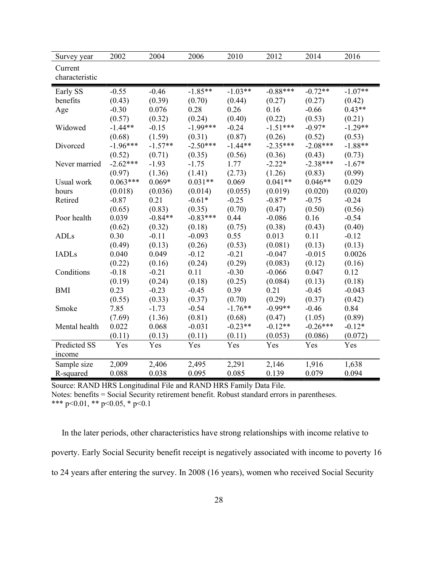| Survey year    | 2002       | 2004      | 2006       | 2010      | 2012       | 2014       | 2016      |
|----------------|------------|-----------|------------|-----------|------------|------------|-----------|
| Current        |            |           |            |           |            |            |           |
| characteristic |            |           |            |           |            |            |           |
| Early SS       | $-0.55$    | $-0.46$   | $-1.85**$  | $-1.03**$ | $-0.88***$ | $-0.72**$  | $-1.07**$ |
| benefits       | (0.43)     | (0.39)    | (0.70)     | (0.44)    | (0.27)     | (0.27)     | (0.42)    |
| Age            | $-0.30$    | 0.076     | 0.28       | 0.26      | 0.16       | $-0.66$    | $0.43**$  |
|                | (0.57)     | (0.32)    | (0.24)     | (0.40)    | (0.22)     | (0.53)     | (0.21)    |
| Widowed        | $-1.44**$  | $-0.15$   | $-1.99***$ | $-0.24$   | $-1.51***$ | $-0.97*$   | $-1.29**$ |
|                | (0.68)     | (1.59)    | (0.31)     | (0.87)    | (0.26)     | (0.52)     | (0.53)    |
| Divorced       | $-1.96***$ | $-1.57**$ | $-2.50***$ | $-1.44**$ | $-2.35***$ | $-2.08***$ | $-1.88**$ |
|                | (0.52)     | (0.71)    | (0.35)     | (0.56)    | (0.36)     | (0.43)     | (0.73)    |
| Never married  | $-2.62***$ | $-1.93$   | $-1.75$    | 1.77      | $-2.22*$   | $-2.38***$ | $-1.67*$  |
|                | (0.97)     | (1.36)    | (1.41)     | (2.73)    | (1.26)     | (0.83)     | (0.99)    |
| Usual work     | $0.063***$ | $0.069*$  | $0.031**$  | 0.069     | $0.041**$  | $0.046**$  | 0.029     |
| hours          | (0.018)    | (0.036)   | (0.014)    | (0.055)   | (0.019)    | (0.020)    | (0.020)   |
| Retired        | $-0.87$    | 0.21      | $-0.61*$   | $-0.25$   | $-0.87*$   | $-0.75$    | $-0.24$   |
|                | (0.65)     | (0.83)    | (0.35)     | (0.70)    | (0.47)     | (0.50)     | (0.56)    |
| Poor health    | 0.039      | $-0.84**$ | $-0.83***$ | 0.44      | $-0.086$   | 0.16       | $-0.54$   |
|                | (0.62)     | (0.32)    | (0.18)     | (0.75)    | (0.38)     | (0.43)     | (0.40)    |
| <b>ADLs</b>    | 0.30       | $-0.11$   | $-0.093$   | 0.55      | 0.013      | 0.11       | $-0.12$   |
|                | (0.49)     | (0.13)    | (0.26)     | (0.53)    | (0.081)    | (0.13)     | (0.13)    |
| <b>IADLs</b>   | 0.040      | 0.049     | $-0.12$    | $-0.21$   | $-0.047$   | $-0.015$   | 0.0026    |
|                | (0.22)     | (0.16)    | (0.24)     | (0.29)    | (0.083)    | (0.12)     | (0.16)    |
| Conditions     | $-0.18$    | $-0.21$   | 0.11       | $-0.30$   | $-0.066$   | 0.047      | 0.12      |
|                | (0.19)     | (0.24)    | (0.18)     | (0.25)    | (0.084)    | (0.13)     | (0.18)    |
| <b>BMI</b>     | 0.23       | $-0.23$   | $-0.45$    | 0.39      | 0.21       | $-0.45$    | $-0.043$  |
|                | (0.55)     | (0.33)    | (0.37)     | (0.70)    | (0.29)     | (0.37)     | (0.42)    |
| Smoke          | 7.85       | $-1.73$   | $-0.54$    | $-1.76**$ | $-0.99**$  | $-0.46$    | 0.84      |
|                | (7.69)     | (1.36)    | (0.81)     | (0.68)    | (0.47)     | (1.05)     | (0.89)    |
| Mental health  | 0.022      | 0.068     | $-0.031$   | $-0.23**$ | $-0.12**$  | $-0.26***$ | $-0.12*$  |
|                | (0.11)     | (0.13)    | (0.11)     | (0.11)    | (0.053)    | (0.086)    | (0.072)   |
| Predicted SS   | Yes        | Yes       | Yes        | Yes       | Yes        | Yes        | Yes       |
| income         |            |           |            |           |            |            |           |
| Sample size    | 2,009      | 2,406     | 2,495      | 2,291     | 2,146      | 1,916      | 1,638     |
| R-squared      | 0.088      | 0.038     | 0.095      | 0.085     | 0.139      | 0.079      | 0.094     |

Notes: benefits = Social Security retirement benefit. Robust standard errors in parentheses. \*\*\* p<0.01, \*\* p<0.05, \* p<0.1

 In the later periods, other characteristics have strong relationships with income relative to poverty. Early Social Security benefit receipt is negatively associated with income to poverty 16 to 24 years after entering the survey. In 2008 (16 years), women who received Social Security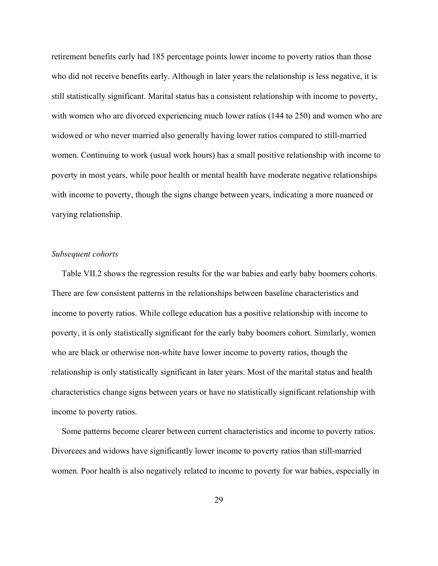retirement benefits early had 185 percentage points lower income to poverty ratios than those who did not receive benefits early. Although in later years the relationship is less negative, it is still statistically significant. Marital status has a consistent relationship with income to poverty, with women who are divorced experiencing much lower ratios (144 to 250) and women who are widowed or who never married also generally having lower ratios compared to still-married women. Continuing to work (usual work hours) has a small positive relationship with income to poverty in most years, while poor health or mental health have moderate negative relationships with income to poverty, though the signs change between years, indicating a more nuanced or varying relationship.

#### Subsequent cohorts

 Table VII.2 shows the regression results for the war babies and early baby boomers cohorts. There are few consistent patterns in the relationships between baseline characteristics and income to poverty ratios. While college education has a positive relationship with income to poverty, it is only statistically significant for the early baby boomers cohort. Similarly, women who are black or otherwise non-white have lower income to poverty ratios, though the relationship is only statistically significant in later years. Most of the marital status and health characteristics change signs between years or have no statistically significant relationship with income to poverty ratios.

 Some patterns become clearer between current characteristics and income to poverty ratios. Divorcees and widows have significantly lower income to poverty ratios than still-married women. Poor health is also negatively related to income to poverty for war babies, especially in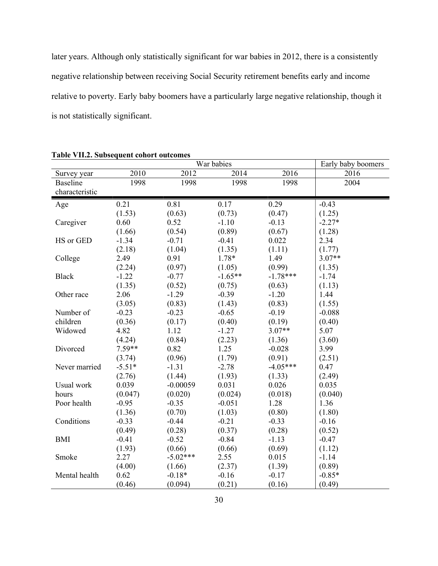later years. Although only statistically significant for war babies in 2012, there is a consistently negative relationship between receiving Social Security retirement benefits early and income relative to poverty. Early baby boomers have a particularly large negative relationship, though it is not statistically significant.

|                 |          | Early baby boomers |           |            |          |
|-----------------|----------|--------------------|-----------|------------|----------|
| Survey year     | 2010     | 2012               | 2014      | 2016       | 2016     |
| <b>Baseline</b> | 1998     | 1998               | 1998      | 1998       | 2004     |
| characteristic  |          |                    |           |            |          |
| Age             | 0.21     | 0.81               | 0.17      | 0.29       | $-0.43$  |
|                 | (1.53)   | (0.63)             | (0.73)    | (0.47)     | (1.25)   |
| Caregiver       | 0.60     | 0.52               | $-1.10$   | $-0.13$    | $-2.27*$ |
|                 | (1.66)   | (0.54)             | (0.89)    | (0.67)     | (1.28)   |
| HS or GED       | $-1.34$  | $-0.71$            | $-0.41$   | 0.022      | 2.34     |
|                 | (2.18)   | (1.04)             | (1.35)    | (1.11)     | (1.77)   |
| College         | 2.49     | 0.91               | $1.78*$   | 1.49       | $3.07**$ |
|                 | (2.24)   | (0.97)             | (1.05)    | (0.99)     | (1.35)   |
| <b>Black</b>    | $-1.22$  | $-0.77$            | $-1.65**$ | $-1.78***$ | $-1.74$  |
|                 | (1.35)   | (0.52)             | (0.75)    | (0.63)     | (1.13)   |
| Other race      | 2.06     | $-1.29$            | $-0.39$   | $-1.20$    | 1.44     |
|                 | (3.05)   | (0.83)             | (1.43)    | (0.83)     | (1.55)   |
| Number of       | $-0.23$  | $-0.23$            | $-0.65$   | $-0.19$    | $-0.088$ |
| children        | (0.36)   | (0.17)             | (0.40)    | (0.19)     | (0.40)   |
| Widowed         | 4.82     | 1.12               | $-1.27$   | $3.07**$   | 5.07     |
|                 | (4.24)   | (0.84)             | (2.23)    | (1.36)     | (3.60)   |
| Divorced        | $7.59**$ | 0.82               | 1.25      | $-0.028$   | 3.99     |
|                 | (3.74)   | (0.96)             | (1.79)    | (0.91)     | (2.51)   |
| Never married   | $-5.51*$ | $-1.31$            | $-2.78$   | $-4.05***$ | 0.47     |
|                 | (2.76)   | (1.44)             | (1.93)    | (1.33)     | (2.49)   |
| Usual work      | 0.039    | $-0.00059$         | 0.031     | 0.026      | 0.035    |
| hours           | (0.047)  | (0.020)            | (0.024)   | (0.018)    | (0.040)  |
| Poor health     | $-0.95$  | $-0.35$            | $-0.051$  | 1.28       | 1.36     |
|                 | (1.36)   | (0.70)             | (1.03)    | (0.80)     | (1.80)   |
| Conditions      | $-0.33$  | $-0.44$            | $-0.21$   | $-0.33$    | $-0.16$  |
|                 | (0.49)   | (0.28)             | (0.37)    | (0.28)     | (0.52)   |
| <b>BMI</b>      | $-0.41$  | $-0.52$            | $-0.84$   | $-1.13$    | $-0.47$  |
|                 | (1.93)   | (0.66)             | (0.66)    | (0.69)     | (1.12)   |
| Smoke           | 2.27     | $-5.02***$         | 2.55      | 0.015      | $-1.14$  |
|                 | (4.00)   | (1.66)             | (2.37)    | (1.39)     | (0.89)   |
| Mental health   | 0.62     | $-0.18*$           | $-0.16$   | $-0.17$    | $-0.85*$ |
|                 | (0.46)   | (0.094)            | (0.21)    | (0.16)     | (0.49)   |

Table VII.2. Subsequent cohort outcomes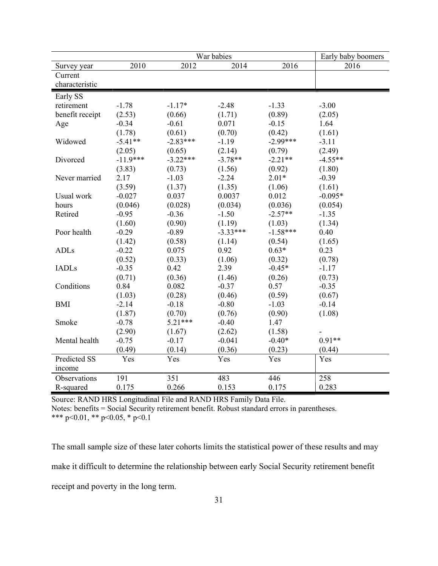|                 | War babies |            |            |            |           |  |
|-----------------|------------|------------|------------|------------|-----------|--|
| Survey year     | 2010       | 2012       | 2014       | 2016       | 2016      |  |
| Current         |            |            |            |            |           |  |
| characteristic  |            |            |            |            |           |  |
| Early SS        |            |            |            |            |           |  |
| retirement      | $-1.78$    | $-1.17*$   | $-2.48$    | $-1.33$    | $-3.00$   |  |
| benefit receipt | (2.53)     | (0.66)     | (1.71)     | (0.89)     | (2.05)    |  |
| Age             | $-0.34$    | $-0.61$    | 0.071      | $-0.15$    | 1.64      |  |
|                 | (1.78)     | (0.61)     | (0.70)     | (0.42)     | (1.61)    |  |
| Widowed         | $-5.41**$  | $-2.83***$ | $-1.19$    | $-2.99***$ | $-3.11$   |  |
|                 | (2.05)     | (0.65)     | (2.14)     | (0.79)     | (2.49)    |  |
| Divorced        | $-11.9***$ | $-3.22***$ | $-3.78**$  | $-2.21**$  | $-4.55**$ |  |
|                 | (3.83)     | (0.73)     | (1.56)     | (0.92)     | (1.80)    |  |
| Never married   | 2.17       | $-1.03$    | $-2.24$    | $2.01*$    | $-0.39$   |  |
|                 | (3.59)     | (1.37)     | (1.35)     | (1.06)     | (1.61)    |  |
| Usual work      | $-0.027$   | 0.037      | 0.0037     | 0.012      | $-0.095*$ |  |
| hours           | (0.046)    | (0.028)    | (0.034)    | (0.036)    | (0.054)   |  |
| Retired         | $-0.95$    | $-0.36$    | $-1.50$    | $-2.57**$  | $-1.35$   |  |
|                 | (1.60)     | (0.90)     | (1.19)     | (1.03)     | (1.34)    |  |
| Poor health     | $-0.29$    | $-0.89$    | $-3.33***$ | $-1.58***$ | 0.40      |  |
|                 | (1.42)     | (0.58)     | (1.14)     | (0.54)     | (1.65)    |  |
| <b>ADLs</b>     | $-0.22$    | 0.075      | 0.92       | $0.63*$    | 0.23      |  |
|                 | (0.52)     | (0.33)     | (1.06)     | (0.32)     | (0.78)    |  |
| <b>IADLs</b>    | $-0.35$    | 0.42       | 2.39       | $-0.45*$   | $-1.17$   |  |
|                 | (0.71)     | (0.36)     | (1.46)     | (0.26)     | (0.73)    |  |
| Conditions      | 0.84       | 0.082      | $-0.37$    | 0.57       | $-0.35$   |  |
|                 | (1.03)     | (0.28)     | (0.46)     | (0.59)     | (0.67)    |  |
| <b>BMI</b>      | $-2.14$    | $-0.18$    | $-0.80$    | $-1.03$    | $-0.14$   |  |
|                 | (1.87)     | (0.70)     | (0.76)     | (0.90)     | (1.08)    |  |
| Smoke           | $-0.78$    | $5.21***$  | $-0.40$    | 1.47       |           |  |
|                 | (2.90)     | (1.67)     | (2.62)     | (1.58)     |           |  |
| Mental health   | $-0.75$    | $-0.17$    | $-0.041$   | $-0.40*$   | $0.91**$  |  |
|                 | (0.49)     | (0.14)     | (0.36)     | (0.23)     | (0.44)    |  |
| Predicted SS    | Yes        | Yes        | Yes        | Yes        | Yes       |  |
| income          |            |            |            |            |           |  |
| Observations    | 191        | 351        | 483        | 446        | 258       |  |
| R-squared       | 0.175      | 0.266      | 0.153      | 0.175      | 0.283     |  |

Source: RAND HRS Longitudinal File and RAND HRS Family Data File. Notes: benefits = Social Security retirement benefit. Robust standard errors in parentheses.

\*\*\* p<0.01, \*\* p<0.05, \* p<0.1

The small sample size of these later cohorts limits the statistical power of these results and may make it difficult to determine the relationship between early Social Security retirement benefit receipt and poverty in the long term.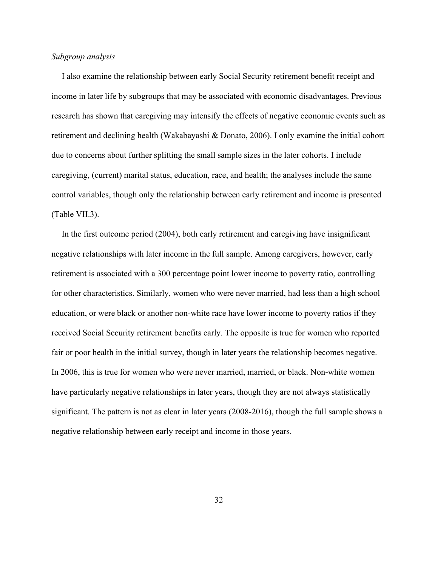## Subgroup analysis

 I also examine the relationship between early Social Security retirement benefit receipt and income in later life by subgroups that may be associated with economic disadvantages. Previous research has shown that caregiving may intensify the effects of negative economic events such as retirement and declining health (Wakabayashi & Donato, 2006). I only examine the initial cohort due to concerns about further splitting the small sample sizes in the later cohorts. I include caregiving, (current) marital status, education, race, and health; the analyses include the same control variables, though only the relationship between early retirement and income is presented (Table VII.3).

 In the first outcome period (2004), both early retirement and caregiving have insignificant negative relationships with later income in the full sample. Among caregivers, however, early retirement is associated with a 300 percentage point lower income to poverty ratio, controlling for other characteristics. Similarly, women who were never married, had less than a high school education, or were black or another non-white race have lower income to poverty ratios if they received Social Security retirement benefits early. The opposite is true for women who reported fair or poor health in the initial survey, though in later years the relationship becomes negative. In 2006, this is true for women who were never married, married, or black. Non-white women have particularly negative relationships in later years, though they are not always statistically significant. The pattern is not as clear in later years (2008-2016), though the full sample shows a negative relationship between early receipt and income in those years.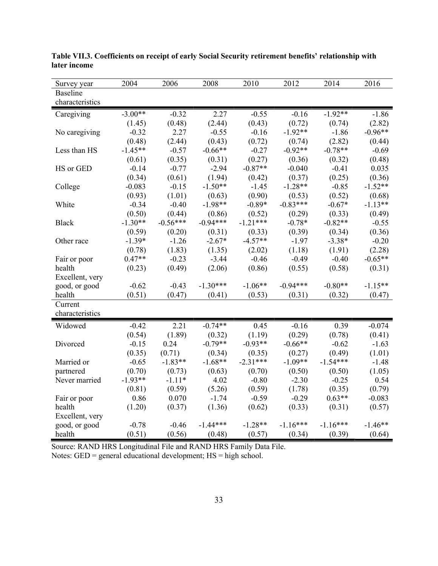| Survey year                        | 2004      | 2006       | 2008       | 2010       | 2012       | 2014       | 2016      |
|------------------------------------|-----------|------------|------------|------------|------------|------------|-----------|
| <b>Baseline</b><br>characteristics |           |            |            |            |            |            |           |
| Caregiving                         | $-3.00**$ | $-0.32$    | 2.27       | $-0.55$    | $-0.16$    | $-1.92**$  | $-1.86$   |
|                                    | (1.45)    | (0.48)     | (2.44)     | (0.43)     | (0.72)     | (0.74)     | (2.82)    |
| No caregiving                      | $-0.32$   | 2.27       | $-0.55$    | $-0.16$    | $-1.92**$  | $-1.86$    | $-0.96**$ |
|                                    | (0.48)    | (2.44)     | (0.43)     | (0.72)     | (0.74)     | (2.82)     | (0.44)    |
| Less than HS                       | $-1.45**$ | $-0.57$    | $-0.66**$  | $-0.27$    | $-0.92**$  | $-0.78**$  | $-0.69$   |
|                                    | (0.61)    | (0.35)     | (0.31)     | (0.27)     | (0.36)     | (0.32)     | (0.48)    |
| HS or GED                          | $-0.14$   | $-0.77$    | $-2.94$    | $-0.87**$  | $-0.040$   | $-0.41$    | 0.035     |
|                                    | (0.34)    | (0.61)     | (1.94)     | (0.42)     | (0.37)     | (0.25)     | (0.36)    |
| College                            | $-0.083$  | $-0.15$    | $-1.50**$  | $-1.45$    | $-1.28**$  | $-0.85$    | $-1.52**$ |
|                                    | (0.93)    | (1.01)     | (0.63)     | (0.90)     | (0.53)     | (0.52)     | (0.68)    |
| White                              | $-0.34$   | $-0.40$    | $-1.98**$  | $-0.89*$   | $-0.83***$ | $-0.67*$   | $-1.13**$ |
|                                    | (0.50)    | (0.44)     | (0.86)     | (0.52)     | (0.29)     | (0.33)     | (0.49)    |
| <b>Black</b>                       | $-1.30**$ | $-0.56***$ | $-0.94***$ | $-1.21***$ | $-0.78*$   | $-0.82**$  | $-0.55$   |
|                                    | (0.59)    | (0.20)     | (0.31)     | (0.33)     | (0.39)     | (0.34)     | (0.36)    |
| Other race                         | $-1.39*$  | $-1.26$    | $-2.67*$   | $-4.57**$  | $-1.97$    | $-3.38*$   | $-0.20$   |
|                                    | (0.78)    | (1.83)     | (1.35)     | (2.02)     | (1.18)     | (1.91)     | (2.28)    |
| Fair or poor                       | $0.47**$  | $-0.23$    | $-3.44$    | $-0.46$    | $-0.49$    | $-0.40$    | $-0.65**$ |
| health                             | (0.23)    | (0.49)     | (2.06)     | (0.86)     | (0.55)     | (0.58)     | (0.31)    |
| Excellent, very                    |           |            |            |            |            |            |           |
| good, or good                      | $-0.62$   | $-0.43$    | $-1.30***$ | $-1.06**$  | $-0.94***$ | $-0.80**$  | $-1.15**$ |
| health                             | (0.51)    | (0.47)     | (0.41)     | (0.53)     | (0.31)     | (0.32)     | (0.47)    |
| Current                            |           |            |            |            |            |            |           |
| characteristics                    |           |            |            |            |            |            |           |
| Widowed                            | $-0.42$   | 2.21       | $-0.74**$  | 0.45       | $-0.16$    | 0.39       | $-0.074$  |
|                                    | (0.54)    | (1.89)     | (0.32)     | (1.19)     | (0.29)     | (0.78)     | (0.41)    |
| Divorced                           | $-0.15$   | 0.24       | $-0.79**$  | $-0.93**$  | $-0.66**$  | $-0.62$    | $-1.63$   |
|                                    | (0.35)    | (0.71)     | (0.34)     | (0.35)     | (0.27)     | (0.49)     | (1.01)    |
| Married or                         | $-0.65$   | $-1.83**$  | $-1.68**$  | $-2.31***$ | $-1.09**$  | $-1.54***$ | $-1.48$   |
| partnered                          | (0.70)    | (0.73)     | (0.63)     | (0.70)     | (0.50)     | (0.50)     | (1.05)    |
| Never married                      | $-1.93**$ | $-1.11*$   | 4.02       | $-0.80$    | $-2.30$    | $-0.25$    | 0.54      |
|                                    | (0.81)    | (0.59)     | (5.26)     | (0.59)     | (1.78)     | (0.35)     | (0.79)    |
| Fair or poor                       | 0.86      | 0.070      | $-1.74$    | $-0.59$    | $-0.29$    | $0.63**$   | $-0.083$  |
| health                             | (1.20)    | (0.37)     | (1.36)     | (0.62)     | (0.33)     | (0.31)     | (0.57)    |
| Excellent, very                    |           |            |            |            |            |            |           |
| good, or good                      | $-0.78$   | $-0.46$    | $-1.44***$ | $-1.28**$  | $-1.16***$ | $-1.16***$ | $-1.46**$ |
| health                             | (0.51)    | (0.56)     | (0.48)     | (0.57)     | (0.34)     | (0.39)     | (0.64)    |

Table VII.3. Coefficients on receipt of early Social Security retirement benefits' relationship with later income

Source: RAND HRS Longitudinal File and RAND HRS Family Data File. Notes: GED = general educational development; HS = high school.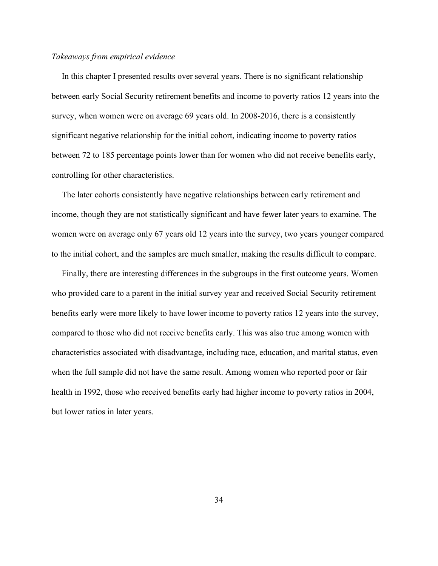## Takeaways from empirical evidence

 In this chapter I presented results over several years. There is no significant relationship between early Social Security retirement benefits and income to poverty ratios 12 years into the survey, when women were on average 69 years old. In 2008-2016, there is a consistently significant negative relationship for the initial cohort, indicating income to poverty ratios between 72 to 185 percentage points lower than for women who did not receive benefits early, controlling for other characteristics.

 The later cohorts consistently have negative relationships between early retirement and income, though they are not statistically significant and have fewer later years to examine. The women were on average only 67 years old 12 years into the survey, two years younger compared to the initial cohort, and the samples are much smaller, making the results difficult to compare.

 Finally, there are interesting differences in the subgroups in the first outcome years. Women who provided care to a parent in the initial survey year and received Social Security retirement benefits early were more likely to have lower income to poverty ratios 12 years into the survey, compared to those who did not receive benefits early. This was also true among women with characteristics associated with disadvantage, including race, education, and marital status, even when the full sample did not have the same result. Among women who reported poor or fair health in 1992, those who received benefits early had higher income to poverty ratios in 2004, but lower ratios in later years.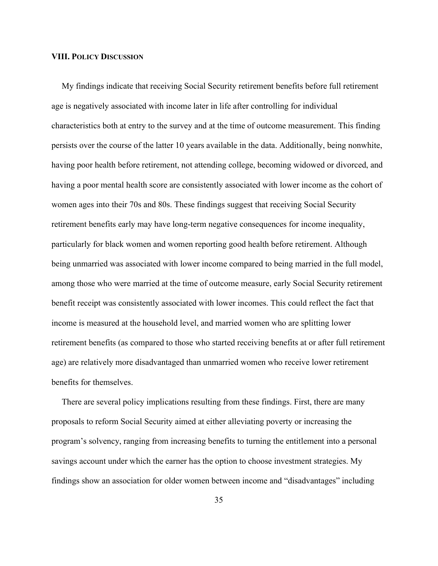#### VIII. POLICY DISCUSSION

 My findings indicate that receiving Social Security retirement benefits before full retirement age is negatively associated with income later in life after controlling for individual characteristics both at entry to the survey and at the time of outcome measurement. This finding persists over the course of the latter 10 years available in the data. Additionally, being nonwhite, having poor health before retirement, not attending college, becoming widowed or divorced, and having a poor mental health score are consistently associated with lower income as the cohort of women ages into their 70s and 80s. These findings suggest that receiving Social Security retirement benefits early may have long-term negative consequences for income inequality, particularly for black women and women reporting good health before retirement. Although being unmarried was associated with lower income compared to being married in the full model, among those who were married at the time of outcome measure, early Social Security retirement benefit receipt was consistently associated with lower incomes. This could reflect the fact that income is measured at the household level, and married women who are splitting lower retirement benefits (as compared to those who started receiving benefits at or after full retirement age) are relatively more disadvantaged than unmarried women who receive lower retirement benefits for themselves.

 There are several policy implications resulting from these findings. First, there are many proposals to reform Social Security aimed at either alleviating poverty or increasing the program's solvency, ranging from increasing benefits to turning the entitlement into a personal savings account under which the earner has the option to choose investment strategies. My findings show an association for older women between income and "disadvantages" including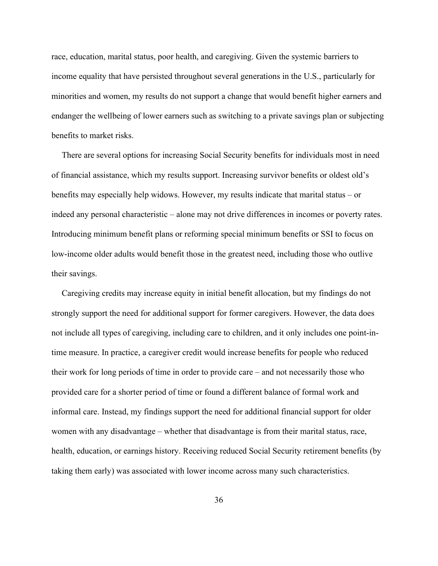race, education, marital status, poor health, and caregiving. Given the systemic barriers to income equality that have persisted throughout several generations in the U.S., particularly for minorities and women, my results do not support a change that would benefit higher earners and endanger the wellbeing of lower earners such as switching to a private savings plan or subjecting benefits to market risks.

 There are several options for increasing Social Security benefits for individuals most in need of financial assistance, which my results support. Increasing survivor benefits or oldest old's benefits may especially help widows. However, my results indicate that marital status – or indeed any personal characteristic – alone may not drive differences in incomes or poverty rates. Introducing minimum benefit plans or reforming special minimum benefits or SSI to focus on low-income older adults would benefit those in the greatest need, including those who outlive their savings.

 Caregiving credits may increase equity in initial benefit allocation, but my findings do not strongly support the need for additional support for former caregivers. However, the data does not include all types of caregiving, including care to children, and it only includes one point-intime measure. In practice, a caregiver credit would increase benefits for people who reduced their work for long periods of time in order to provide care – and not necessarily those who provided care for a shorter period of time or found a different balance of formal work and informal care. Instead, my findings support the need for additional financial support for older women with any disadvantage – whether that disadvantage is from their marital status, race, health, education, or earnings history. Receiving reduced Social Security retirement benefits (by taking them early) was associated with lower income across many such characteristics.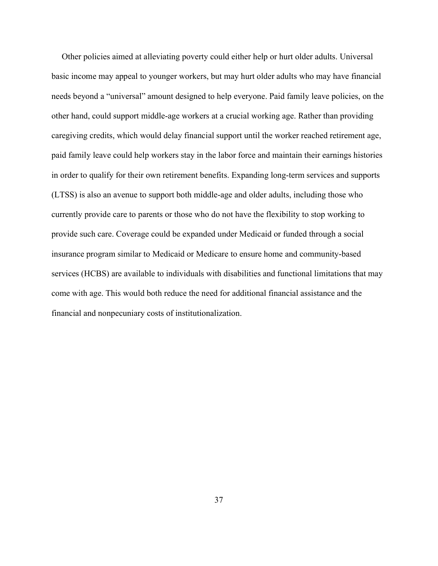Other policies aimed at alleviating poverty could either help or hurt older adults. Universal basic income may appeal to younger workers, but may hurt older adults who may have financial needs beyond a "universal" amount designed to help everyone. Paid family leave policies, on the other hand, could support middle-age workers at a crucial working age. Rather than providing caregiving credits, which would delay financial support until the worker reached retirement age, paid family leave could help workers stay in the labor force and maintain their earnings histories in order to qualify for their own retirement benefits. Expanding long-term services and supports (LTSS) is also an avenue to support both middle-age and older adults, including those who currently provide care to parents or those who do not have the flexibility to stop working to provide such care. Coverage could be expanded under Medicaid or funded through a social insurance program similar to Medicaid or Medicare to ensure home and community-based services (HCBS) are available to individuals with disabilities and functional limitations that may come with age. This would both reduce the need for additional financial assistance and the financial and nonpecuniary costs of institutionalization.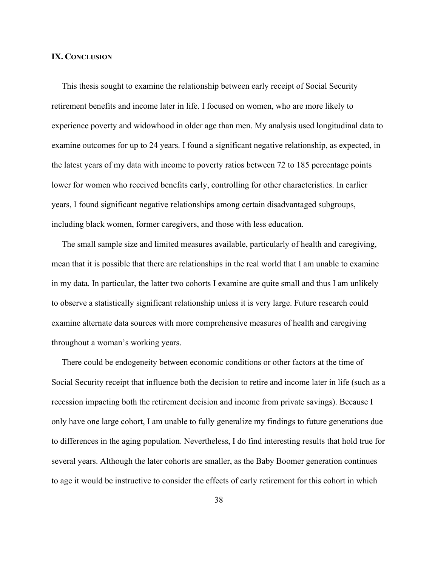#### IX. CONCLUSION

 This thesis sought to examine the relationship between early receipt of Social Security retirement benefits and income later in life. I focused on women, who are more likely to experience poverty and widowhood in older age than men. My analysis used longitudinal data to examine outcomes for up to 24 years. I found a significant negative relationship, as expected, in the latest years of my data with income to poverty ratios between 72 to 185 percentage points lower for women who received benefits early, controlling for other characteristics. In earlier years, I found significant negative relationships among certain disadvantaged subgroups, including black women, former caregivers, and those with less education.

 The small sample size and limited measures available, particularly of health and caregiving, mean that it is possible that there are relationships in the real world that I am unable to examine in my data. In particular, the latter two cohorts I examine are quite small and thus I am unlikely to observe a statistically significant relationship unless it is very large. Future research could examine alternate data sources with more comprehensive measures of health and caregiving throughout a woman's working years.

 There could be endogeneity between economic conditions or other factors at the time of Social Security receipt that influence both the decision to retire and income later in life (such as a recession impacting both the retirement decision and income from private savings). Because I only have one large cohort, I am unable to fully generalize my findings to future generations due to differences in the aging population. Nevertheless, I do find interesting results that hold true for several years. Although the later cohorts are smaller, as the Baby Boomer generation continues to age it would be instructive to consider the effects of early retirement for this cohort in which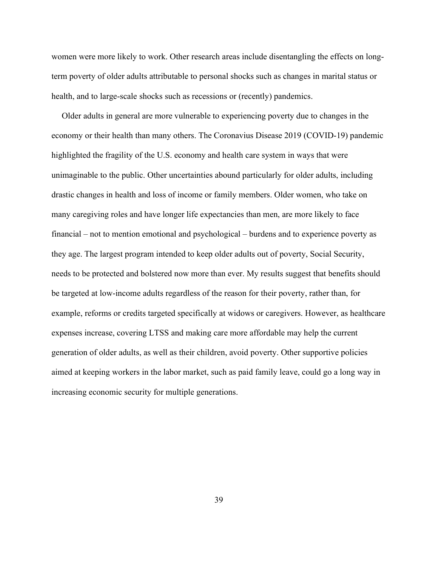women were more likely to work. Other research areas include disentangling the effects on longterm poverty of older adults attributable to personal shocks such as changes in marital status or health, and to large-scale shocks such as recessions or (recently) pandemics.

 Older adults in general are more vulnerable to experiencing poverty due to changes in the economy or their health than many others. The Coronavius Disease 2019 (COVID-19) pandemic highlighted the fragility of the U.S. economy and health care system in ways that were unimaginable to the public. Other uncertainties abound particularly for older adults, including drastic changes in health and loss of income or family members. Older women, who take on many caregiving roles and have longer life expectancies than men, are more likely to face financial – not to mention emotional and psychological – burdens and to experience poverty as they age. The largest program intended to keep older adults out of poverty, Social Security, needs to be protected and bolstered now more than ever. My results suggest that benefits should be targeted at low-income adults regardless of the reason for their poverty, rather than, for example, reforms or credits targeted specifically at widows or caregivers. However, as healthcare expenses increase, covering LTSS and making care more affordable may help the current generation of older adults, as well as their children, avoid poverty. Other supportive policies aimed at keeping workers in the labor market, such as paid family leave, could go a long way in increasing economic security for multiple generations.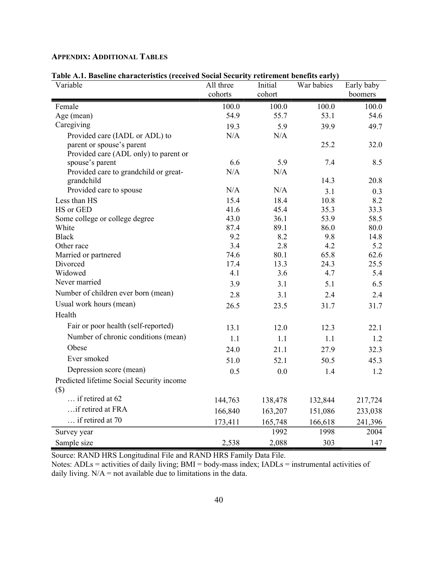| I ADIC A.I. DASCHIIC CHAI ACICI ISHUS (FECEIVEU SOCIAI SECUFILY FEIIFEIICHT DEIICHUS CAFFY)<br>Variable | All three<br>Initial |              | War babies   | Early baby  |
|---------------------------------------------------------------------------------------------------------|----------------------|--------------|--------------|-------------|
|                                                                                                         | cohorts<br>cohort    |              |              | boomers     |
| Female                                                                                                  | 100.0                | 100.0        | 100.0        | 100.0       |
| Age (mean)                                                                                              | 54.9                 | 55.7         | 53.1         | 54.6        |
| Caregiving                                                                                              | 19.3                 | 5.9          | 39.9         | 49.7        |
| Provided care (IADL or ADL) to                                                                          | N/A                  | N/A          |              |             |
| parent or spouse's parent                                                                               |                      |              | 25.2         | 32.0        |
| Provided care (ADL only) to parent or                                                                   |                      |              |              |             |
| spouse's parent                                                                                         | 6.6                  | 5.9          | 7.4          | 8.5         |
| Provided care to grandchild or great-                                                                   | N/A                  | N/A          |              |             |
| grandchild<br>Provided care to spouse                                                                   | N/A                  | N/A          | 14.3         | 20.8        |
|                                                                                                         |                      |              | 3.1          | 0.3         |
| Less than HS<br>HS or GED                                                                               | 15.4<br>41.6         | 18.4<br>45.4 | 10.8<br>35.3 | 8.2<br>33.3 |
| Some college or college degree                                                                          | 43.0                 | 36.1         | 53.9         | 58.5        |
| White                                                                                                   | 87.4                 | 89.1         | 86.0         | 80.0        |
| <b>Black</b>                                                                                            | 9.2                  | 8.2          | 9.8          | 14.8        |
| Other race                                                                                              | 3.4                  | 2.8          | 4.2          | 5.2         |
| Married or partnered                                                                                    | 74.6                 | 80.1         | 65.8         | 62.6        |
| Divorced                                                                                                | 17.4                 | 13.3         | 24.3         | 25.5        |
| Widowed                                                                                                 | 4.1                  | 3.6          | 4.7          | 5.4         |
| Never married                                                                                           | 3.9                  | 3.1          | 5.1          | 6.5         |
| Number of children ever born (mean)                                                                     | 2.8                  | 3.1          | 2.4          | 2.4         |
| Usual work hours (mean)                                                                                 | 26.5                 | 23.5         | 31.7         | 31.7        |
| Health                                                                                                  |                      |              |              |             |
| Fair or poor health (self-reported)                                                                     | 13.1                 | 12.0         | 12.3         | 22.1        |
| Number of chronic conditions (mean)                                                                     | 1.1                  | 1.1          | 1.1          | 1.2         |
| Obese                                                                                                   | 24.0                 | 21.1         | 27.9         | 32.3        |
| Ever smoked                                                                                             | 51.0                 | 52.1         | 50.5         | 45.3        |
| Depression score (mean)                                                                                 | 0.5                  | 0.0          | 1.4          | 1.2         |
| Predicted lifetime Social Security income                                                               |                      |              |              |             |
| $(\$)$                                                                                                  |                      |              |              |             |
| if retired at 62                                                                                        | 144,763              | 138,478      | 132,844      | 217,724     |
| if retired at FRA                                                                                       | 166,840              | 163,207      | 151,086      | 233,038     |
| if retired at 70                                                                                        | 173,411              | 165,748      | 166,618      | 241,396     |
| Survey year                                                                                             |                      | 1992         | 1998         | 2004        |
| Sample size                                                                                             | 2,538                | 2,088        | 303          | 147         |

# APPENDIX: ADDITIONAL TABLES

Table A.1. Baseline characteristics (received Social Security retirement benefits early)

Source: RAND HRS Longitudinal File and RAND HRS Family Data File.

Notes: ADLs = activities of daily living; BMI = body-mass index; IADLs = instrumental activities of daily living.  $N/A$  = not available due to limitations in the data.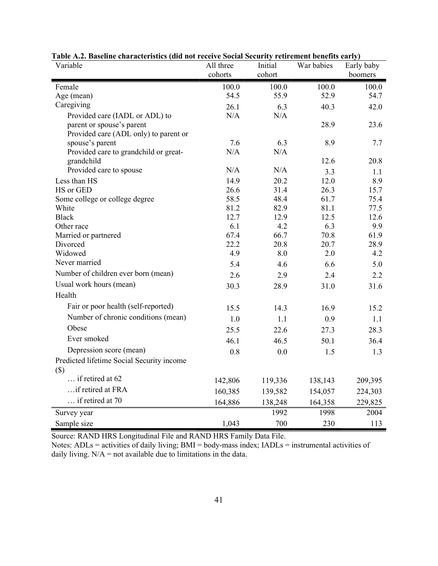| Variable                                                           | All three<br>Initial |              | War babies   | Early baby   |
|--------------------------------------------------------------------|----------------------|--------------|--------------|--------------|
|                                                                    | cohorts<br>cohort    |              |              | boomers      |
| Female                                                             | 100.0                | 100.0        | 100.0        | 100.0        |
| Age (mean)                                                         | 54.5                 | 55.9         | 52.9         | 54.7         |
| Caregiving                                                         | 26.1                 | 6.3          | 40.3         | 42.0         |
| Provided care (IADL or ADL) to                                     | N/A                  | N/A          |              |              |
| parent or spouse's parent<br>Provided care (ADL only) to parent or |                      |              | 28.9         | 23.6         |
| spouse's parent                                                    | 7.6                  | 6.3          | 8.9          | 7.7          |
| Provided care to grandchild or great-                              | N/A                  | N/A          |              |              |
| grandchild                                                         |                      |              | 12.6         | 20.8         |
| Provided care to spouse                                            | N/A                  | N/A          | 3.3          | 1.1          |
| Less than HS                                                       | 14.9                 | 20.2         | 12.0         | 8.9          |
| HS or GED                                                          | 26.6                 | 31.4         | 26.3         | 15.7         |
| Some college or college degree<br>White                            | 58.5<br>81.2         | 48.4<br>82.9 | 61.7<br>81.1 | 75.4<br>77.5 |
| <b>Black</b>                                                       | 12.7                 | 12.9         | 12.5         | 12.6         |
| Other race                                                         | 6.1                  | 4.2          | 6.3          | 9.9          |
| Married or partnered                                               | 67.4                 | 66.7         | 70.8         | 61.9         |
| Divorced                                                           | 22.2                 | 20.8         | 20.7         | 28.9         |
| Widowed                                                            | 4.9                  | 8.0          | 2.0          | 4.2          |
| Never married                                                      | 5.4                  | 4.6          | 6.6          | 5.0          |
| Number of children ever born (mean)                                | 2.6                  | 2.9          | 2.4          | 2.2          |
| Usual work hours (mean)                                            | 30.3                 | 28.9         | 31.0         | 31.6         |
| Health                                                             |                      |              |              |              |
| Fair or poor health (self-reported)                                | 15.5                 | 14.3         | 16.9         | 15.2         |
| Number of chronic conditions (mean)                                | 1.0                  | 1.1          | 0.9          | 1.1          |
| Obese                                                              | 25.5                 | 22.6         | 27.3         | 28.3         |
| Ever smoked                                                        | 46.1                 | 46.5         | 50.1         | 36.4         |
| Depression score (mean)                                            | 0.8                  | 0.0          | 1.5          | 1.3          |
| Predicted lifetime Social Security income                          |                      |              |              |              |
| $(\$)$                                                             |                      |              |              |              |
| if retired at 62                                                   | 142,806              | 119,336      | 138,143      | 209,395      |
| if retired at FRA                                                  | 160,385              | 139,582      | 154,057      | 224,303      |
| if retired at 70                                                   | 164,886              | 138,248      | 164,358      | 229,825      |
| Survey year                                                        |                      | 1992         | 1998         | 2004         |
| Sample size                                                        | 1,043                | 700          | 230          | 113          |

| Table A.2. Baseline characteristics (did not receive Social Security retirement benefits early) |  |  |
|-------------------------------------------------------------------------------------------------|--|--|
|                                                                                                 |  |  |

Notes: ADLs = activities of daily living; BMI = body-mass index; IADLs = instrumental activities of daily living.  $N/A$  = not available due to limitations in the data.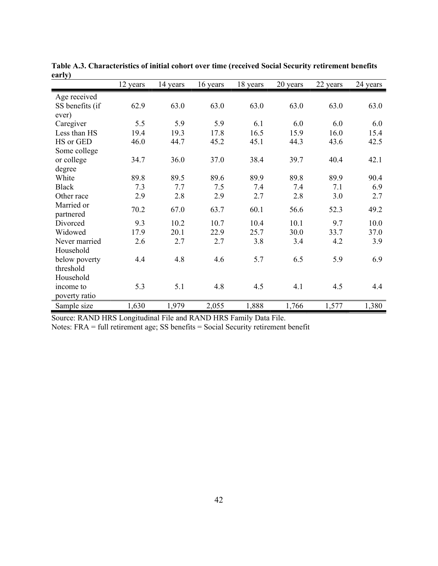| чи 17 ј         | 12 years | 14 years | 16 years | 18 years | 20 years | 22 years | 24 years |
|-----------------|----------|----------|----------|----------|----------|----------|----------|
| Age received    |          |          |          |          |          |          |          |
| SS benefits (if | 62.9     | 63.0     | 63.0     | 63.0     | 63.0     | 63.0     | 63.0     |
| ever)           |          |          |          |          |          |          |          |
| Caregiver       | 5.5      | 5.9      | 5.9      | 6.1      | 6.0      | 6.0      | 6.0      |
| Less than HS    | 19.4     | 19.3     | 17.8     | 16.5     | 15.9     | 16.0     | 15.4     |
| HS or GED       | 46.0     | 44.7     | 45.2     | 45.1     | 44.3     | 43.6     | 42.5     |
| Some college    |          |          |          |          |          |          |          |
| or college      | 34.7     | 36.0     | 37.0     | 38.4     | 39.7     | 40.4     | 42.1     |
| degree          |          |          |          |          |          |          |          |
| White           | 89.8     | 89.5     | 89.6     | 89.9     | 89.8     | 89.9     | 90.4     |
| <b>Black</b>    | 7.3      | 7.7      | 7.5      | 7.4      | 7.4      | 7.1      | 6.9      |
| Other race      | 2.9      | 2.8      | 2.9      | 2.7      | 2.8      | 3.0      | 2.7      |
| Married or      |          |          |          |          |          |          |          |
| partnered       | 70.2     | 67.0     | 63.7     | 60.1     | 56.6     | 52.3     | 49.2     |
| Divorced        | 9.3      | 10.2     | 10.7     | 10.4     | 10.1     | 9.7      | 10.0     |
| Widowed         | 17.9     | 20.1     | 22.9     | 25.7     | 30.0     | 33.7     | 37.0     |
| Never married   | 2.6      | 2.7      | 2.7      | 3.8      | 3.4      | 4.2      | 3.9      |
| Household       |          |          |          |          |          |          |          |
| below poverty   | 4.4      | 4.8      | 4.6      | 5.7      | 6.5      | 5.9      | 6.9      |
| threshold       |          |          |          |          |          |          |          |
| Household       |          |          |          |          |          |          |          |
| income to       | 5.3      | 5.1      | 4.8      | 4.5      | 4.1      | 4.5      | 4.4      |
| poverty ratio   |          |          |          |          |          |          |          |
| Sample size     | 1,630    | 1,979    | 2,055    | 1,888    | 1,766    | 1,577    | 1,380    |

Table A.3. Characteristics of initial cohort over time (received Social Security retirement benefits early)

Notes: FRA = full retirement age; SS benefits = Social Security retirement benefit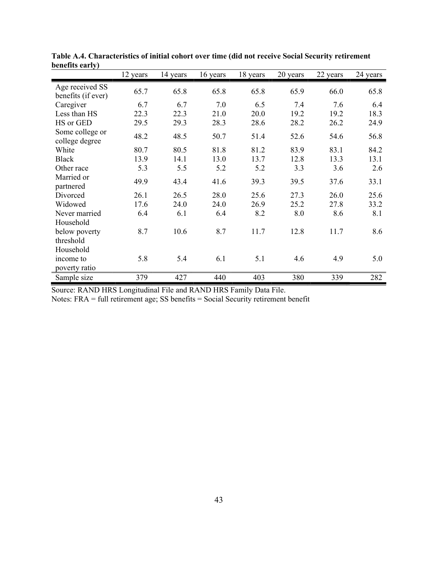| DUNUNG UALLY J                        | 12 years | 14 years | 16 years | 18 years | 20 years | 22 years | 24 years |
|---------------------------------------|----------|----------|----------|----------|----------|----------|----------|
| Age received SS<br>benefits (if ever) | 65.7     | 65.8     | 65.8     | 65.8     | 65.9     | 66.0     | 65.8     |
| Caregiver                             | 6.7      | 6.7      | 7.0      | 6.5      | 7.4      | 7.6      | 6.4      |
| Less than HS                          | 22.3     | 22.3     | 21.0     | 20.0     | 19.2     | 19.2     | 18.3     |
| HS or GED                             | 29.5     | 29.3     | 28.3     | 28.6     | 28.2     | 26.2     | 24.9     |
| Some college or<br>college degree     | 48.2     | 48.5     | 50.7     | 51.4     | 52.6     | 54.6     | 56.8     |
| White                                 | 80.7     | 80.5     | 81.8     | 81.2     | 83.9     | 83.1     | 84.2     |
| <b>Black</b>                          | 13.9     | 14.1     | 13.0     | 13.7     | 12.8     | 13.3     | 13.1     |
| Other race                            | 5.3      | 5.5      | 5.2      | 5.2      | 3.3      | 3.6      | 2.6      |
| Married or<br>partnered               | 49.9     | 43.4     | 41.6     | 39.3     | 39.5     | 37.6     | 33.1     |
| Divorced                              | 26.1     | 26.5     | 28.0     | 25.6     | 27.3     | 26.0     | 25.6     |
| Widowed                               | 17.6     | 24.0     | 24.0     | 26.9     | 25.2     | 27.8     | 33.2     |
| Never married<br>Household            | 6.4      | 6.1      | 6.4      | 8.2      | 8.0      | 8.6      | 8.1      |
| below poverty<br>threshold            | 8.7      | 10.6     | 8.7      | 11.7     | 12.8     | 11.7     | 8.6      |
| Household                             |          |          |          |          |          |          |          |
| income to<br>poverty ratio            | 5.8      | 5.4      | 6.1      | 5.1      | 4.6      | 4.9      | 5.0      |
| Sample size                           | 379      | 427      | 440      | 403      | 380      | 339      | 282      |

Table A.4. Characteristics of initial cohort over time (did not receive Social Security retirement benefits early)

Notes: FRA = full retirement age; SS benefits = Social Security retirement benefit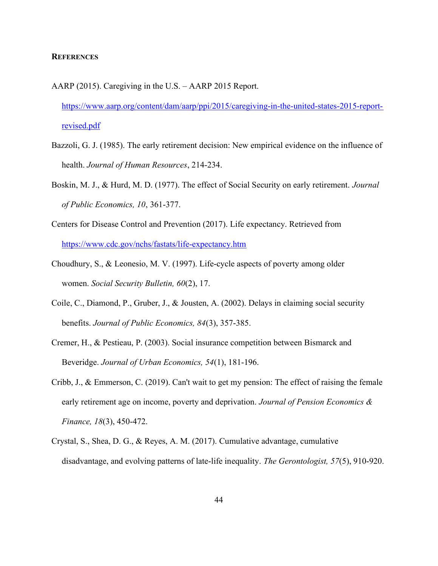#### **REFERENCES**

- AARP (2015). Caregiving in the U.S. AARP 2015 Report. https://www.aarp.org/content/dam/aarp/ppi/2015/caregiving-in-the-united-states-2015-reportrevised.pdf
- Bazzoli, G. J. (1985). The early retirement decision: New empirical evidence on the influence of health. Journal of Human Resources, 214-234.
- Boskin, M. J., & Hurd, M. D. (1977). The effect of Social Security on early retirement. Journal of Public Economics, 10, 361-377.
- Centers for Disease Control and Prevention (2017). Life expectancy. Retrieved from https://www.cdc.gov/nchs/fastats/life-expectancy.htm
- Choudhury, S., & Leonesio, M. V. (1997). Life-cycle aspects of poverty among older women. Social Security Bulletin, 60(2), 17.
- Coile, C., Diamond, P., Gruber, J., & Jousten, A. (2002). Delays in claiming social security benefits. Journal of Public Economics, 84(3), 357-385.
- Cremer, H., & Pestieau, P. (2003). Social insurance competition between Bismarck and Beveridge. Journal of Urban Economics, 54(1), 181-196.
- Cribb, J., & Emmerson, C. (2019). Can't wait to get my pension: The effect of raising the female early retirement age on income, poverty and deprivation. Journal of Pension Economics & Finance, 18(3), 450-472.
- Crystal, S., Shea, D. G., & Reyes, A. M. (2017). Cumulative advantage, cumulative disadvantage, and evolving patterns of late-life inequality. The Gerontologist, 57(5), 910-920.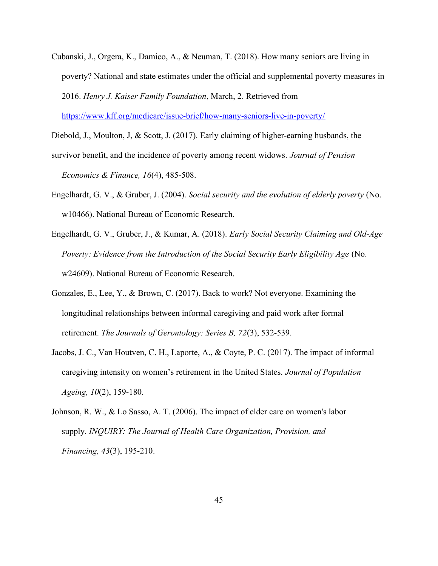Cubanski, J., Orgera, K., Damico, A., & Neuman, T. (2018). How many seniors are living in poverty? National and state estimates under the official and supplemental poverty measures in 2016. Henry J. Kaiser Family Foundation, March, 2. Retrieved from

https://www.kff.org/medicare/issue-brief/how-many-seniors-live-in-poverty/

Diebold, J., Moulton, J, & Scott, J. (2017). Early claiming of higher-earning husbands, the

survivor benefit, and the incidence of poverty among recent widows. *Journal of Pension* Economics & Finance, 16(4), 485-508.

- Engelhardt, G. V., & Gruber, J. (2004). Social security and the evolution of elderly poverty (No. w10466). National Bureau of Economic Research.
- Engelhardt, G. V., Gruber, J., & Kumar, A. (2018). Early Social Security Claiming and Old-Age Poverty: Evidence from the Introduction of the Social Security Early Eligibility Age (No. w24609). National Bureau of Economic Research.
- Gonzales, E., Lee, Y., & Brown, C. (2017). Back to work? Not everyone. Examining the longitudinal relationships between informal caregiving and paid work after formal retirement. The Journals of Gerontology: Series B, 72(3), 532-539.
- Jacobs, J. C., Van Houtven, C. H., Laporte, A., & Coyte, P. C. (2017). The impact of informal caregiving intensity on women's retirement in the United States. Journal of Population Ageing, 10(2), 159-180.
- Johnson, R. W., & Lo Sasso, A. T. (2006). The impact of elder care on women's labor supply. INQUIRY: The Journal of Health Care Organization, Provision, and Financing, 43(3), 195-210.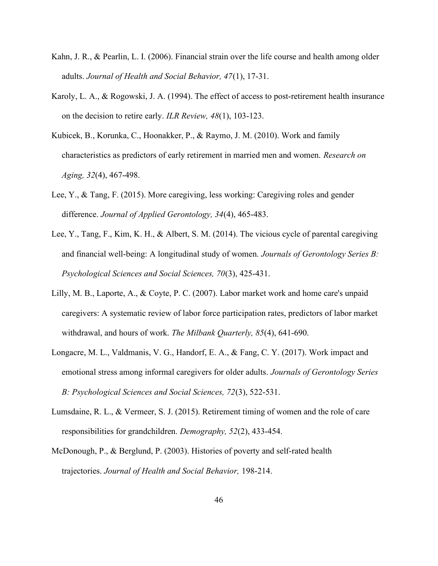- Kahn, J. R., & Pearlin, L. I. (2006). Financial strain over the life course and health among older adults. Journal of Health and Social Behavior, 47(1), 17-31.
- Karoly, L. A., & Rogowski, J. A. (1994). The effect of access to post-retirement health insurance on the decision to retire early. ILR Review, 48(1), 103-123.
- Kubicek, B., Korunka, C., Hoonakker, P., & Raymo, J. M. (2010). Work and family characteristics as predictors of early retirement in married men and women. Research on Aging, 32(4), 467-498.
- Lee, Y., & Tang, F. (2015). More caregiving, less working: Caregiving roles and gender difference. Journal of Applied Gerontology, 34(4), 465-483.
- Lee, Y., Tang, F., Kim, K. H., & Albert, S. M. (2014). The vicious cycle of parental caregiving and financial well-being: A longitudinal study of women. Journals of Gerontology Series B: Psychological Sciences and Social Sciences, 70(3), 425-431.
- Lilly, M. B., Laporte, A., & Coyte, P. C. (2007). Labor market work and home care's unpaid caregivers: A systematic review of labor force participation rates, predictors of labor market withdrawal, and hours of work. The Milbank Quarterly, 85(4), 641-690.
- Longacre, M. L., Valdmanis, V. G., Handorf, E. A., & Fang, C. Y. (2017). Work impact and emotional stress among informal caregivers for older adults. Journals of Gerontology Series B: Psychological Sciences and Social Sciences, 72(3), 522-531.
- Lumsdaine, R. L., & Vermeer, S. J. (2015). Retirement timing of women and the role of care responsibilities for grandchildren. Demography, 52(2), 433-454.
- McDonough, P., & Berglund, P. (2003). Histories of poverty and self-rated health trajectories. Journal of Health and Social Behavior, 198-214.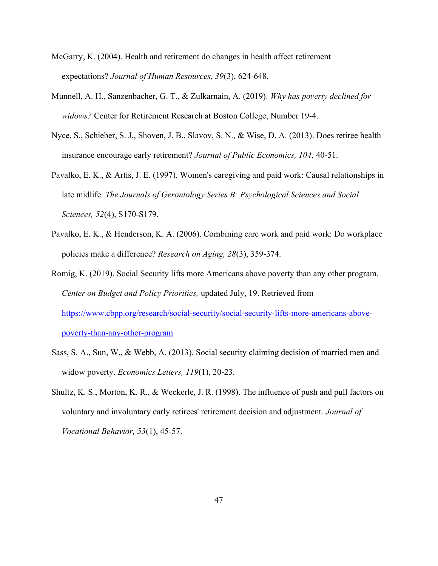- McGarry, K. (2004). Health and retirement do changes in health affect retirement expectations? Journal of Human Resources, 39(3), 624-648.
- Munnell, A. H., Sanzenbacher, G. T., & Zulkarnain, A. (2019). Why has poverty declined for widows? Center for Retirement Research at Boston College, Number 19-4.
- Nyce, S., Schieber, S. J., Shoven, J. B., Slavov, S. N., & Wise, D. A. (2013). Does retiree health insurance encourage early retirement? Journal of Public Economics, 104, 40-51.
- Pavalko, E. K., & Artis, J. E. (1997). Women's caregiving and paid work: Causal relationships in late midlife. The Journals of Gerontology Series B: Psychological Sciences and Social Sciences, 52(4), S170-S179.
- Pavalko, E. K., & Henderson, K. A. (2006). Combining care work and paid work: Do workplace policies make a difference? Research on Aging, 28(3), 359-374.
- Romig, K. (2019). Social Security lifts more Americans above poverty than any other program. Center on Budget and Policy Priorities, updated July, 19. Retrieved from https://www.cbpp.org/research/social-security/social-security-lifts-more-americans-abovepoverty-than-any-other-program
- Sass, S. A., Sun, W., & Webb, A. (2013). Social security claiming decision of married men and widow poverty. *Economics Letters*, 119(1), 20-23.
- Shultz, K. S., Morton, K. R., & Weckerle, J. R. (1998). The influence of push and pull factors on voluntary and involuntary early retirees' retirement decision and adjustment. Journal of Vocational Behavior, 53(1), 45-57.